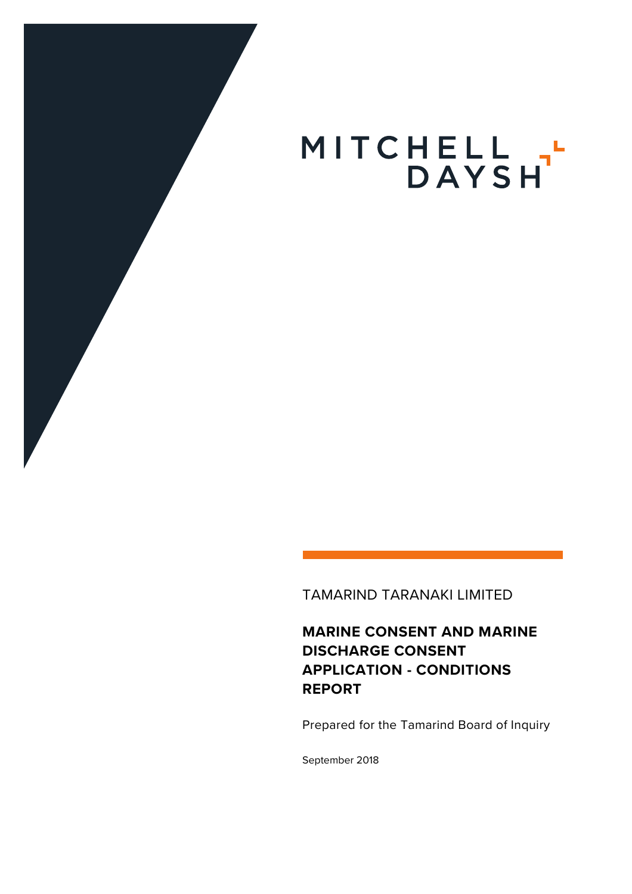

TAMARIND TARANAKI LIMITED

**MARINE CONSENT AND MARINE DISCHARGE CONSENT APPLICATION - CONDITIONS REPORT**

Prepared for the Tamarind Board of Inquiry

September 2018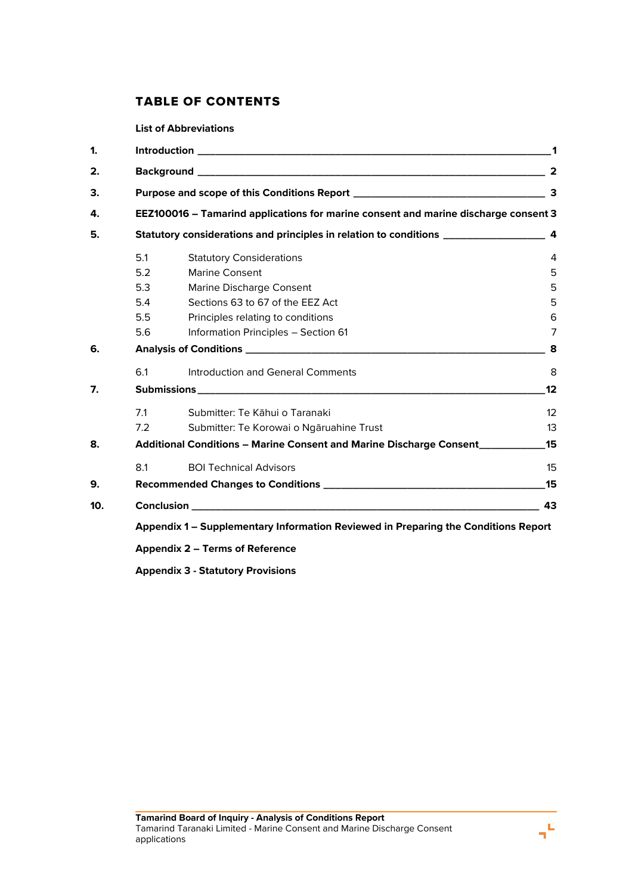# TABLE OF CONTENTS

**List of Abbreviations**

| 1.  |                                                                                                |                                                                                    |    |  |
|-----|------------------------------------------------------------------------------------------------|------------------------------------------------------------------------------------|----|--|
| 2.  |                                                                                                |                                                                                    |    |  |
| 3.  |                                                                                                |                                                                                    |    |  |
| 4.  | EEZ100016 - Tamarind applications for marine consent and marine discharge consent 3            |                                                                                    |    |  |
| 5.  | Statutory considerations and principles in relation to conditions __________________________ 4 |                                                                                    |    |  |
|     | 5.1                                                                                            | <b>Statutory Considerations</b>                                                    | 4  |  |
|     | 5.2                                                                                            | <b>Marine Consent</b>                                                              | 5  |  |
|     | 5.3                                                                                            | Marine Discharge Consent                                                           | 5  |  |
|     | 5.4                                                                                            | Sections 63 to 67 of the EEZ Act                                                   | 5  |  |
|     | 5.5                                                                                            | Principles relating to conditions                                                  | 6  |  |
|     | 5.6                                                                                            | Information Principles - Section 61                                                | 7  |  |
| 6.  |                                                                                                |                                                                                    |    |  |
|     | 6.1                                                                                            | Introduction and General Comments                                                  | 8  |  |
| 7.  |                                                                                                |                                                                                    | 12 |  |
|     | 7.1                                                                                            | Submitter: Te Kāhui o Taranaki                                                     | 12 |  |
|     | 7.2                                                                                            | Submitter: Te Korowai o Ngāruahine Trust                                           | 13 |  |
| 8.  |                                                                                                | Additional Conditions - Marine Consent and Marine Discharge Consent___________     | 15 |  |
|     | 8.1                                                                                            | <b>BOI Technical Advisors</b>                                                      | 15 |  |
| 9.  |                                                                                                |                                                                                    | 15 |  |
| 10. |                                                                                                |                                                                                    | 43 |  |
|     |                                                                                                | Appendix 1 – Supplementary Information Reviewed in Preparing the Conditions Report |    |  |
|     |                                                                                                |                                                                                    |    |  |

**Appendix 2 – Terms of Reference**

**Appendix 3 - Statutory Provisions**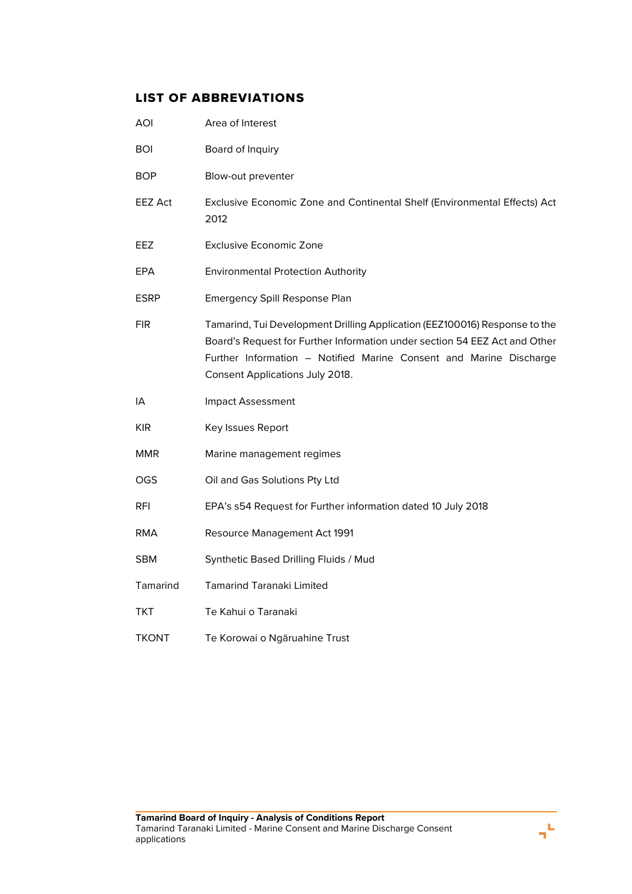# LIST OF ABBREVIATIONS

| <b>AOI</b>     | Area of Interest                                                                                                                                                                                                                                                  |
|----------------|-------------------------------------------------------------------------------------------------------------------------------------------------------------------------------------------------------------------------------------------------------------------|
| <b>BOI</b>     | Board of Inquiry                                                                                                                                                                                                                                                  |
| <b>BOP</b>     | Blow-out preventer                                                                                                                                                                                                                                                |
| <b>EEZ Act</b> | Exclusive Economic Zone and Continental Shelf (Environmental Effects) Act<br>2012                                                                                                                                                                                 |
| EEZ            | <b>Exclusive Economic Zone</b>                                                                                                                                                                                                                                    |
| EPA            | <b>Environmental Protection Authority</b>                                                                                                                                                                                                                         |
| ESRP           | Emergency Spill Response Plan                                                                                                                                                                                                                                     |
| <b>FIR</b>     | Tamarind, Tui Development Drilling Application (EEZ100016) Response to the<br>Board's Request for Further Information under section 54 EEZ Act and Other<br>Further Information - Notified Marine Consent and Marine Discharge<br>Consent Applications July 2018. |
| IA             | Impact Assessment                                                                                                                                                                                                                                                 |
| <b>KIR</b>     | Key Issues Report                                                                                                                                                                                                                                                 |
| <b>MMR</b>     | Marine management regimes                                                                                                                                                                                                                                         |
| OGS            | Oil and Gas Solutions Pty Ltd                                                                                                                                                                                                                                     |
| <b>RFI</b>     | EPA's s54 Request for Further information dated 10 July 2018                                                                                                                                                                                                      |
| RMA            | Resource Management Act 1991                                                                                                                                                                                                                                      |
| <b>SBM</b>     | Synthetic Based Drilling Fluids / Mud                                                                                                                                                                                                                             |
| Tamarind       | <b>Tamarind Taranaki Limited</b>                                                                                                                                                                                                                                  |
| TKT            | Te Kahui o Taranaki                                                                                                                                                                                                                                               |
| <b>TKONT</b>   | Te Korowai o Ngāruahine Trust                                                                                                                                                                                                                                     |

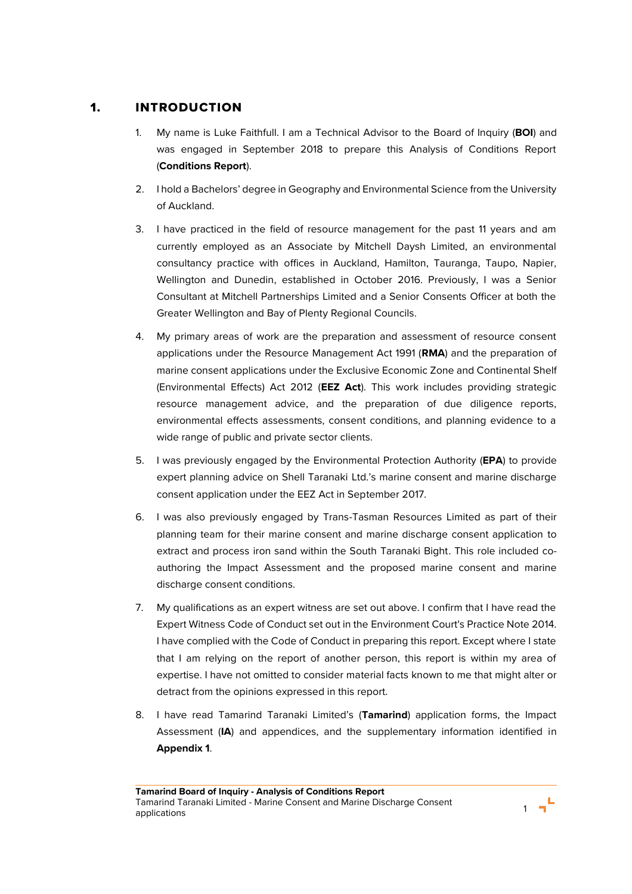# 1. INTRODUCTION

- 1. My name is Luke Faithfull. I am a Technical Advisor to the Board of Inquiry (**BOI**) and was engaged in September 2018 to prepare this Analysis of Conditions Report (**Conditions Report**).
- 2. I hold a Bachelors' degree in Geography and Environmental Science from the University of Auckland.
- 3. I have practiced in the field of resource management for the past 11 years and am currently employed as an Associate by Mitchell Daysh Limited, an environmental consultancy practice with offices in Auckland, Hamilton, Tauranga, Taupo, Napier, Wellington and Dunedin, established in October 2016. Previously, I was a Senior Consultant at Mitchell Partnerships Limited and a Senior Consents Officer at both the Greater Wellington and Bay of Plenty Regional Councils.
- 4. My primary areas of work are the preparation and assessment of resource consent applications under the Resource Management Act 1991 (**RMA**) and the preparation of marine consent applications under the Exclusive Economic Zone and Continental Shelf (Environmental Effects) Act 2012 (**EEZ Act**). This work includes providing strategic resource management advice, and the preparation of due diligence reports, environmental effects assessments, consent conditions, and planning evidence to a wide range of public and private sector clients.
- 5. I was previously engaged by the Environmental Protection Authority (**EPA**) to provide expert planning advice on Shell Taranaki Ltd.'s marine consent and marine discharge consent application under the EEZ Act in September 2017.
- 6. I was also previously engaged by Trans-Tasman Resources Limited as part of their planning team for their marine consent and marine discharge consent application to extract and process iron sand within the South Taranaki Bight. This role included coauthoring the Impact Assessment and the proposed marine consent and marine discharge consent conditions.
- 7. My qualifications as an expert witness are set out above. I confirm that I have read the Expert Witness Code of Conduct set out in the Environment Court's Practice Note 2014. I have complied with the Code of Conduct in preparing this report. Except where I state that I am relying on the report of another person, this report is within my area of expertise. I have not omitted to consider material facts known to me that might alter or detract from the opinions expressed in this report.
- 8. I have read Tamarind Taranaki Limited's (**Tamarind**) application forms, the Impact Assessment (**IA**) and appendices, and the supplementary information identified in **Appendix 1**.

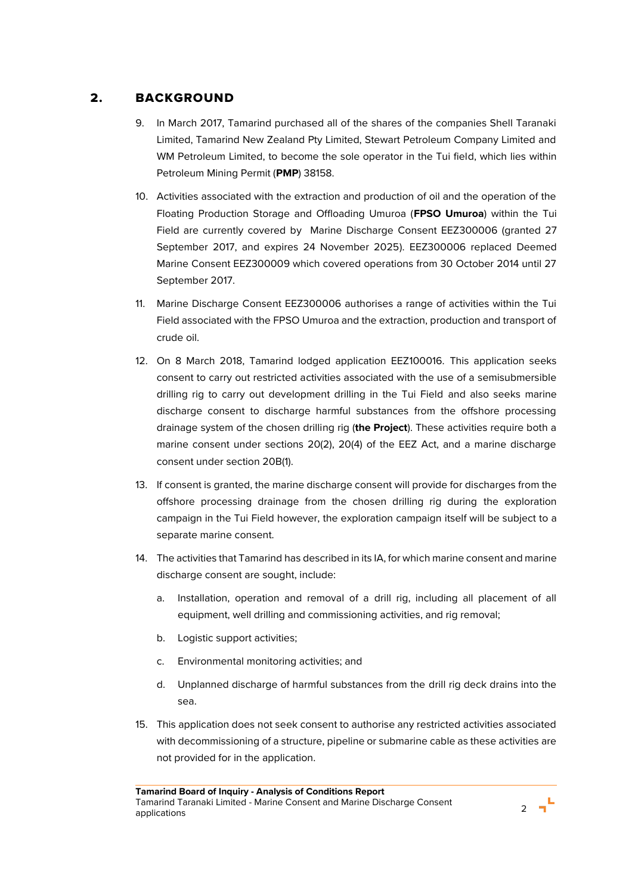# 2. BACKGROUND

- 9. In March 2017, Tamarind purchased all of the shares of the companies Shell Taranaki Limited, Tamarind New Zealand Pty Limited, Stewart Petroleum Company Limited and WM Petroleum Limited, to become the sole operator in the Tui field, which lies within Petroleum Mining Permit (**PMP**) 38158.
- 10. Activities associated with the extraction and production of oil and the operation of the Floating Production Storage and Offloading Umuroa (**FPSO Umuroa**) within the Tui Field are currently covered by Marine Discharge Consent EEZ300006 (granted 27 September 2017, and expires 24 November 2025). EEZ300006 replaced Deemed Marine Consent EEZ300009 which covered operations from 30 October 2014 until 27 September 2017.
- 11. Marine Discharge Consent EEZ300006 authorises a range of activities within the Tui Field associated with the FPSO Umuroa and the extraction, production and transport of crude oil.
- 12. On 8 March 2018, Tamarind lodged application EEZ100016. This application seeks consent to carry out restricted activities associated with the use of a semisubmersible drilling rig to carry out development drilling in the Tui Field and also seeks marine discharge consent to discharge harmful substances from the offshore processing drainage system of the chosen drilling rig (**the Project**). These activities require both a marine consent under sections 20(2), 20(4) of the EEZ Act, and a marine discharge consent under section 20B(1).
- 13. If consent is granted, the marine discharge consent will provide for discharges from the offshore processing drainage from the chosen drilling rig during the exploration campaign in the Tui Field however, the exploration campaign itself will be subject to a separate marine consent.
- 14. The activities that Tamarind has described in its IA, for which marine consent and marine discharge consent are sought, include:
	- a. Installation, operation and removal of a drill rig, including all placement of all equipment, well drilling and commissioning activities, and rig removal;
	- b. Logistic support activities;
	- c. Environmental monitoring activities; and
	- d. Unplanned discharge of harmful substances from the drill rig deck drains into the sea.
- 15. This application does not seek consent to authorise any restricted activities associated with decommissioning of a structure, pipeline or submarine cable as these activities are not provided for in the application.

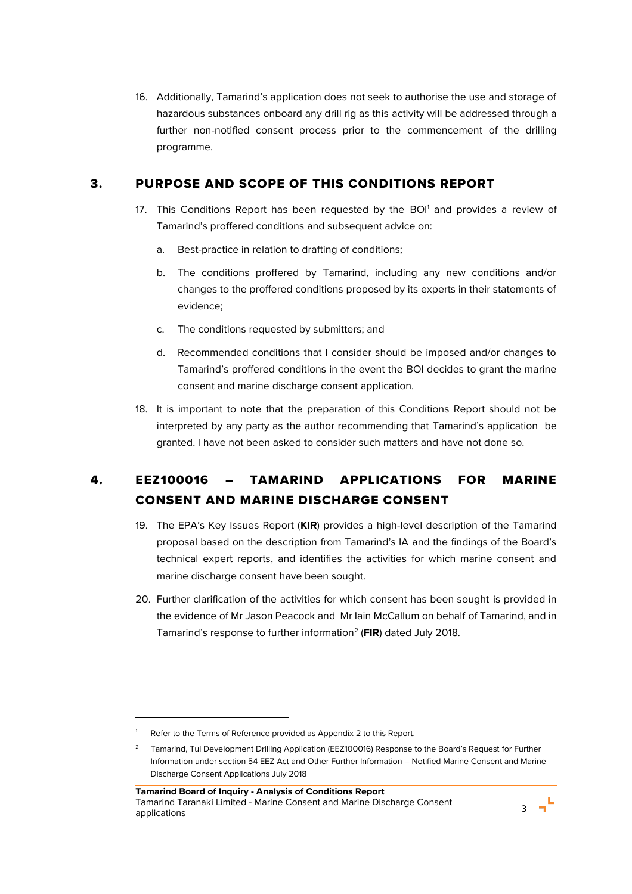16. Additionally, Tamarind's application does not seek to authorise the use and storage of hazardous substances onboard any drill rig as this activity will be addressed through a further non-notified consent process prior to the commencement of the drilling programme.

# 3. PURPOSE AND SCOPE OF THIS CONDITIONS REPORT

- 17. This Conditions Report has been requested by the BOI<sup>1</sup> and provides a review of Tamarind's proffered conditions and subsequent advice on:
	- a. Best-practice in relation to drafting of conditions;
	- b. The conditions proffered by Tamarind, including any new conditions and/or changes to the proffered conditions proposed by its experts in their statements of evidence;
	- c. The conditions requested by submitters; and
	- d. Recommended conditions that I consider should be imposed and/or changes to Tamarind's proffered conditions in the event the BOI decides to grant the marine consent and marine discharge consent application.
- 18. It is important to note that the preparation of this Conditions Report should not be interpreted by any party as the author recommending that Tamarind's application be granted. I have not been asked to consider such matters and have not done so.

# 4. EEZ100016 – TAMARIND APPLICATIONS FOR MARINE CONSENT AND MARINE DISCHARGE CONSENT

- 19. The EPA's Key Issues Report (**KIR**) provides a high-level description of the Tamarind proposal based on the description from Tamarind's IA and the findings of the Board's technical expert reports, and identifies the activities for which marine consent and marine discharge consent have been sought.
- 20. Further clarification of the activities for which consent has been sought is provided in the evidence of Mr Jason Peacock and Mr Iain McCallum on behalf of Tamarind, and in Tamarind's response to further information<sup>2</sup> (**FIR**) dated July 2018.

 $\overline{a}$ 



Refer to the Terms of Reference provided as Appendix 2 to this Report.

<sup>2</sup> Tamarind, Tui Development Drilling Application (EEZ100016) Response to the Board's Request for Further Information under section 54 EEZ Act and Other Further Information – Notified Marine Consent and Marine Discharge Consent Applications July 2018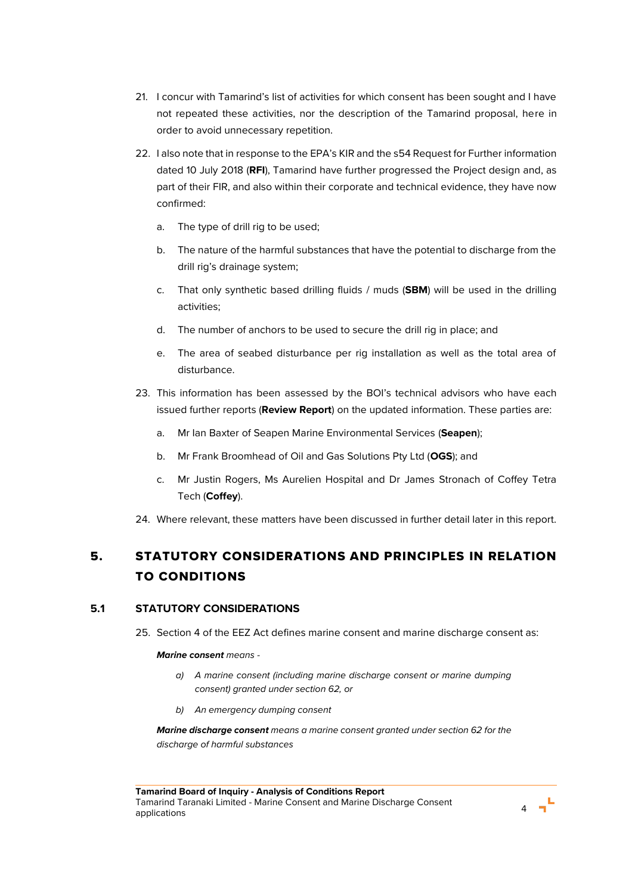- 21. I concur with Tamarind's list of activities for which consent has been sought and I have not repeated these activities, nor the description of the Tamarind proposal, here in order to avoid unnecessary repetition.
- 22. I also note that in response to the EPA's KIR and the s54 Request for Further information dated 10 July 2018 (**RFI**), Tamarind have further progressed the Project design and, as part of their FIR, and also within their corporate and technical evidence, they have now confirmed:
	- a. The type of drill rig to be used;
	- b. The nature of the harmful substances that have the potential to discharge from the drill rig's drainage system;
	- c. That only synthetic based drilling fluids / muds (**SBM**) will be used in the drilling activities;
	- d. The number of anchors to be used to secure the drill rig in place; and
	- e. The area of seabed disturbance per rig installation as well as the total area of disturbance.
- 23. This information has been assessed by the BOI's technical advisors who have each issued further reports (**Review Report**) on the updated information. These parties are:
	- a. Mr Ian Baxter of Seapen Marine Environmental Services (**Seapen**);
	- b. Mr Frank Broomhead of Oil and Gas Solutions Pty Ltd (**OGS**); and
	- c. Mr Justin Rogers, Ms Aurelien Hospital and Dr James Stronach of Coffey Tetra Tech (**Coffey**).
- 24. Where relevant, these matters have been discussed in further detail later in this report.

# 5. STATUTORY CONSIDERATIONS AND PRINCIPLES IN RELATION TO CONDITIONS

# **5.1 STATUTORY CONSIDERATIONS**

25. Section 4 of the EEZ Act defines marine consent and marine discharge consent as:

### *Marine consent means -*

- *a) A marine consent (including marine discharge consent or marine dumping consent) granted under section 62, or*
- *b) An emergency dumping consent*

*Marine discharge consent means a marine consent granted under section 62 for the discharge of harmful substances*

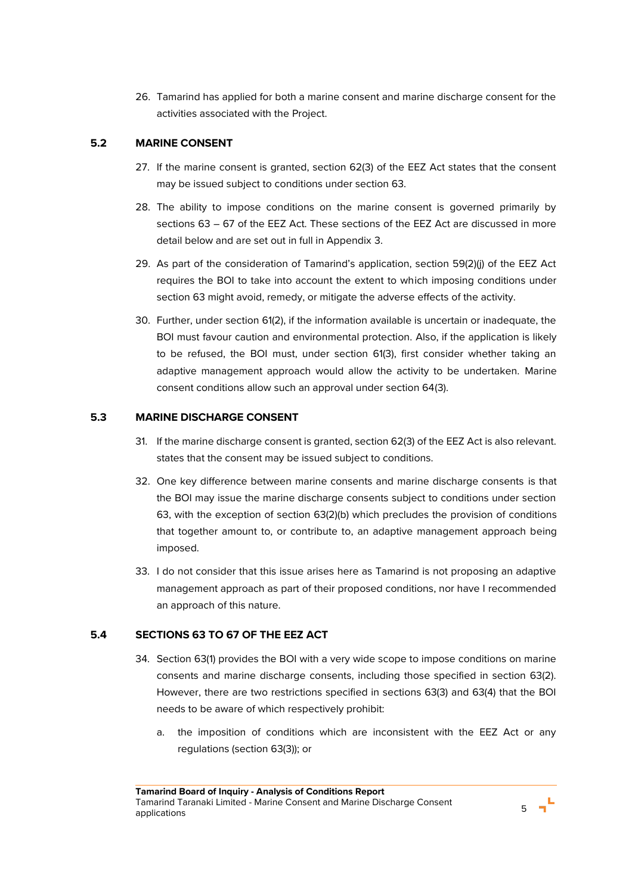26. Tamarind has applied for both a marine consent and marine discharge consent for the activities associated with the Project.

# **5.2 MARINE CONSENT**

- 27. If the marine consent is granted, section 62(3) of the EEZ Act states that the consent may be issued subject to conditions under section 63.
- 28. The ability to impose conditions on the marine consent is governed primarily by sections 63 – 67 of the EEZ Act. These sections of the EEZ Act are discussed in more detail below and are set out in full in Appendix 3.
- 29. As part of the consideration of Tamarind's application, section 59(2)(j) of the EEZ Act requires the BOI to take into account the extent to which imposing conditions under section 63 might avoid, remedy, or mitigate the adverse effects of the activity.
- 30. Further, under section 61(2), if the information available is uncertain or inadequate, the BOI must favour caution and environmental protection. Also, if the application is likely to be refused, the BOI must, under section 61(3), first consider whether taking an adaptive management approach would allow the activity to be undertaken. Marine consent conditions allow such an approval under section 64(3).

# **5.3 MARINE DISCHARGE CONSENT**

- 31. If the marine discharge consent is granted, section 62(3) of the EEZ Act is also relevant. states that the consent may be issued subject to conditions.
- 32. One key difference between marine consents and marine discharge consents is that the BOI may issue the marine discharge consents subject to conditions under section 63, with the exception of section 63(2)(b) which precludes the provision of conditions that together amount to, or contribute to, an adaptive management approach being imposed.
- 33. I do not consider that this issue arises here as Tamarind is not proposing an adaptive management approach as part of their proposed conditions, nor have I recommended an approach of this nature.

# **5.4 SECTIONS 63 TO 67 OF THE EEZ ACT**

- 34. Section 63(1) provides the BOI with a very wide scope to impose conditions on marine consents and marine discharge consents, including those specified in section 63(2). However, there are two restrictions specified in sections 63(3) and 63(4) that the BOI needs to be aware of which respectively prohibit:
	- a. the imposition of conditions which are inconsistent with the EEZ Act or any regulations (section 63(3)); or

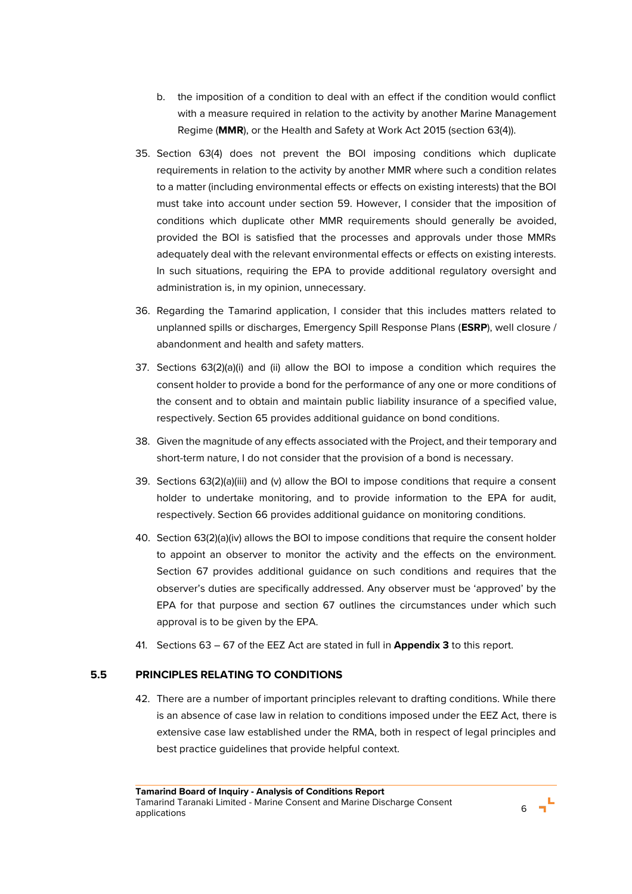- b. the imposition of a condition to deal with an effect if the condition would conflict with a measure required in relation to the activity by another Marine Management Regime (**MMR**), or the Health and Safety at Work Act 2015 (section 63(4)).
- 35. Section 63(4) does not prevent the BOI imposing conditions which duplicate requirements in relation to the activity by another MMR where such a condition relates to a matter (including environmental effects or effects on existing interests) that the BOI must take into account under section 59. However, I consider that the imposition of conditions which duplicate other MMR requirements should generally be avoided, provided the BOI is satisfied that the processes and approvals under those MMRs adequately deal with the relevant environmental effects or effects on existing interests. In such situations, requiring the EPA to provide additional regulatory oversight and administration is, in my opinion, unnecessary.
- 36. Regarding the Tamarind application, I consider that this includes matters related to unplanned spills or discharges, Emergency Spill Response Plans (**ESRP**), well closure / abandonment and health and safety matters.
- 37. Sections 63(2)(a)(i) and (ii) allow the BOI to impose a condition which requires the consent holder to provide a bond for the performance of any one or more conditions of the consent and to obtain and maintain public liability insurance of a specified value, respectively. Section 65 provides additional guidance on bond conditions.
- 38. Given the magnitude of any effects associated with the Project, and their temporary and short-term nature, I do not consider that the provision of a bond is necessary.
- 39. Sections 63(2)(a)(iii) and (v) allow the BOI to impose conditions that require a consent holder to undertake monitoring, and to provide information to the EPA for audit, respectively. Section 66 provides additional guidance on monitoring conditions.
- 40. Section 63(2)(a)(iv) allows the BOI to impose conditions that require the consent holder to appoint an observer to monitor the activity and the effects on the environment. Section 67 provides additional guidance on such conditions and requires that the observer's duties are specifically addressed. Any observer must be 'approved' by the EPA for that purpose and section 67 outlines the circumstances under which such approval is to be given by the EPA.
- 41. Sections 63 67 of the EEZ Act are stated in full in **Appendix 3** to this report.

## **5.5 PRINCIPLES RELATING TO CONDITIONS**

42. There are a number of important principles relevant to drafting conditions. While there is an absence of case law in relation to conditions imposed under the EEZ Act, there is extensive case law established under the RMA, both in respect of legal principles and best practice guidelines that provide helpful context.

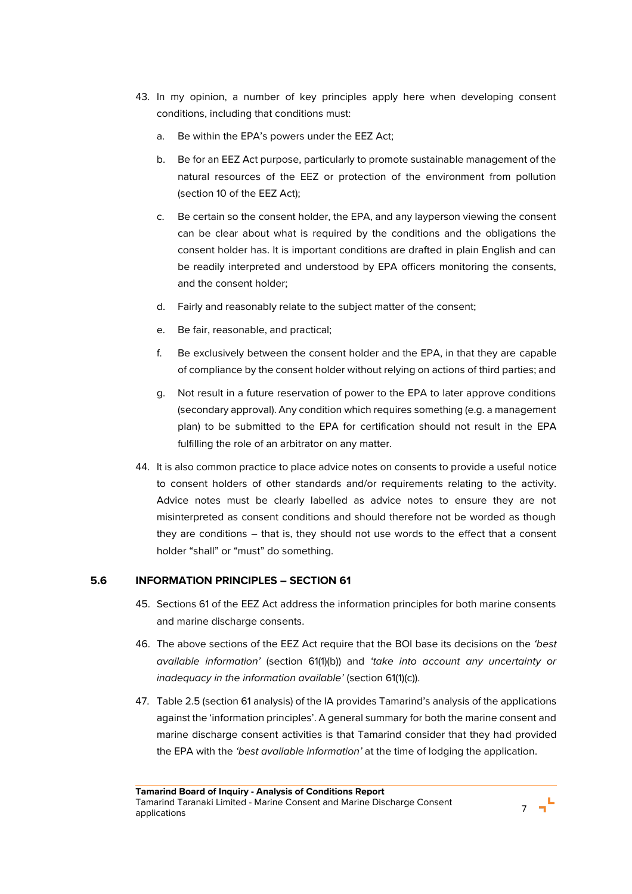- 43. In my opinion, a number of key principles apply here when developing consent conditions, including that conditions must:
	- a. Be within the EPA's powers under the EEZ Act;
	- b. Be for an EEZ Act purpose, particularly to promote sustainable management of the natural resources of the EEZ or protection of the environment from pollution (section 10 of the EEZ Act);
	- c. Be certain so the consent holder, the EPA, and any layperson viewing the consent can be clear about what is required by the conditions and the obligations the consent holder has. It is important conditions are drafted in plain English and can be readily interpreted and understood by EPA officers monitoring the consents, and the consent holder;
	- d. Fairly and reasonably relate to the subject matter of the consent;
	- e. Be fair, reasonable, and practical;
	- f. Be exclusively between the consent holder and the EPA, in that they are capable of compliance by the consent holder without relying on actions of third parties; and
	- g. Not result in a future reservation of power to the EPA to later approve conditions (secondary approval). Any condition which requires something (e.g. a management plan) to be submitted to the EPA for certification should not result in the EPA fulfilling the role of an arbitrator on any matter.
- 44. It is also common practice to place advice notes on consents to provide a useful notice to consent holders of other standards and/or requirements relating to the activity. Advice notes must be clearly labelled as advice notes to ensure they are not misinterpreted as consent conditions and should therefore not be worded as though they are conditions – that is, they should not use words to the effect that a consent holder "shall" or "must" do something.

# **5.6 INFORMATION PRINCIPLES – SECTION 61**

- 45. Sections 61 of the EEZ Act address the information principles for both marine consents and marine discharge consents.
- 46. The above sections of the EEZ Act require that the BOI base its decisions on the *'best available information'* (section 61(1)(b)) and *'take into account any uncertainty or inadequacy in the information available'* (section 61(1)(c)).
- 47. Table 2.5 (section 61 analysis) of the IA provides Tamarind's analysis of the applications against the 'information principles'. A general summary for both the marine consent and marine discharge consent activities is that Tamarind consider that they had provided the EPA with the *'best available information'* at the time of lodging the application.

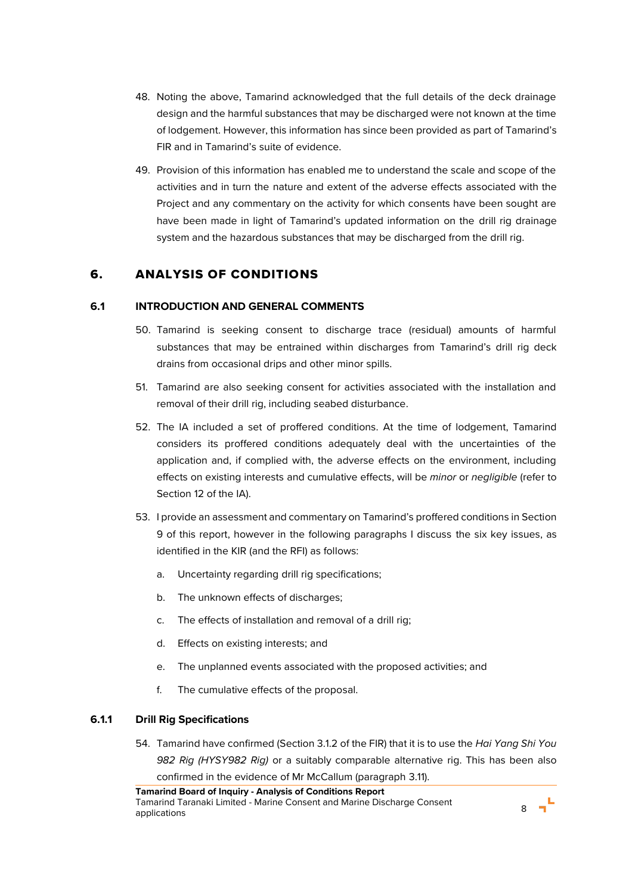- 48. Noting the above, Tamarind acknowledged that the full details of the deck drainage design and the harmful substances that may be discharged were not known at the time of lodgement. However, this information has since been provided as part of Tamarind's FIR and in Tamarind's suite of evidence.
- 49. Provision of this information has enabled me to understand the scale and scope of the activities and in turn the nature and extent of the adverse effects associated with the Project and any commentary on the activity for which consents have been sought are have been made in light of Tamarind's updated information on the drill rig drainage system and the hazardous substances that may be discharged from the drill rig.

# 6. ANALYSIS OF CONDITIONS

## **6.1 INTRODUCTION AND GENERAL COMMENTS**

- 50. Tamarind is seeking consent to discharge trace (residual) amounts of harmful substances that may be entrained within discharges from Tamarind's drill rig deck drains from occasional drips and other minor spills.
- 51. Tamarind are also seeking consent for activities associated with the installation and removal of their drill rig, including seabed disturbance.
- 52. The IA included a set of proffered conditions. At the time of lodgement, Tamarind considers its proffered conditions adequately deal with the uncertainties of the application and, if complied with, the adverse effects on the environment, including effects on existing interests and cumulative effects, will be *minor* or *negligible* (refer to Section 12 of the IA).
- 53. I provide an assessment and commentary on Tamarind's proffered conditions in Section 9 of this report, however in the following paragraphs I discuss the six key issues, as identified in the KIR (and the RFI) as follows:
	- a. Uncertainty regarding drill rig specifications;
	- b. The unknown effects of discharges;
	- c. The effects of installation and removal of a drill rig;
	- d. Effects on existing interests; and
	- e. The unplanned events associated with the proposed activities; and
	- f. The cumulative effects of the proposal.

# **6.1.1 Drill Rig Specifications**

54. Tamarind have confirmed (Section 3.1.2 of the FIR) that it is to use the *Hai Yang Shi You 982 Rig (HYSY982 Rig)* or a suitably comparable alternative rig. This has been also confirmed in the evidence of Mr McCallum (paragraph 3.11).

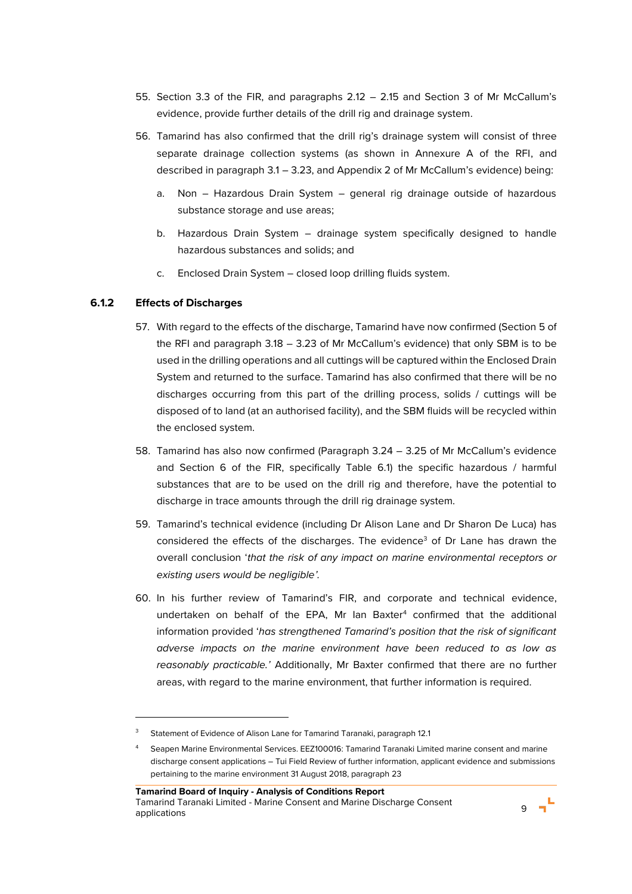- 55. Section 3.3 of the FIR, and paragraphs 2.12 2.15 and Section 3 of Mr McCallum's evidence, provide further details of the drill rig and drainage system.
- 56. Tamarind has also confirmed that the drill rig's drainage system will consist of three separate drainage collection systems (as shown in Annexure A of the RFI, and described in paragraph 3.1 – 3.23, and Appendix 2 of Mr McCallum's evidence) being:
	- a. Non Hazardous Drain System general rig drainage outside of hazardous substance storage and use areas;
	- b. Hazardous Drain System drainage system specifically designed to handle hazardous substances and solids; and
	- c. Enclosed Drain System closed loop drilling fluids system.

## **6.1.2 Effects of Discharges**

 $\overline{a}$ 

- 57. With regard to the effects of the discharge, Tamarind have now confirmed (Section 5 of the RFI and paragraph 3.18 – 3.23 of Mr McCallum's evidence) that only SBM is to be used in the drilling operations and all cuttings will be captured within the Enclosed Drain System and returned to the surface. Tamarind has also confirmed that there will be no discharges occurring from this part of the drilling process, solids / cuttings will be disposed of to land (at an authorised facility), and the SBM fluids will be recycled within the enclosed system.
- 58. Tamarind has also now confirmed (Paragraph 3.24 3.25 of Mr McCallum's evidence and Section 6 of the FIR, specifically Table 6.1) the specific hazardous / harmful substances that are to be used on the drill rig and therefore, have the potential to discharge in trace amounts through the drill rig drainage system.
- 59. Tamarind's technical evidence (including Dr Alison Lane and Dr Sharon De Luca) has considered the effects of the discharges. The evidence<sup>3</sup> of Dr Lane has drawn the overall conclusion '*that the risk of any impact on marine environmental receptors or existing users would be negligible'.*
- <span id="page-11-0"></span>60. In his further review of Tamarind's FIR, and corporate and technical evidence, undertaken on behalf of the EPA, Mr Ian Baxter $4$  confirmed that the additional information provided '*has strengthened Tamarind's position that the risk of significant adverse impacts on the marine environment have been reduced to as low as reasonably practicable.'* Additionally, Mr Baxter confirmed that there are no further areas, with regard to the marine environment, that further information is required.



<sup>3</sup> Statement of Evidence of Alison Lane for Tamarind Taranaki, paragraph 12.1

<sup>4</sup> Seapen Marine Environmental Services. EEZ100016: Tamarind Taranaki Limited marine consent and marine discharge consent applications – Tui Field Review of further information, applicant evidence and submissions pertaining to the marine environment 31 August 2018, paragraph 23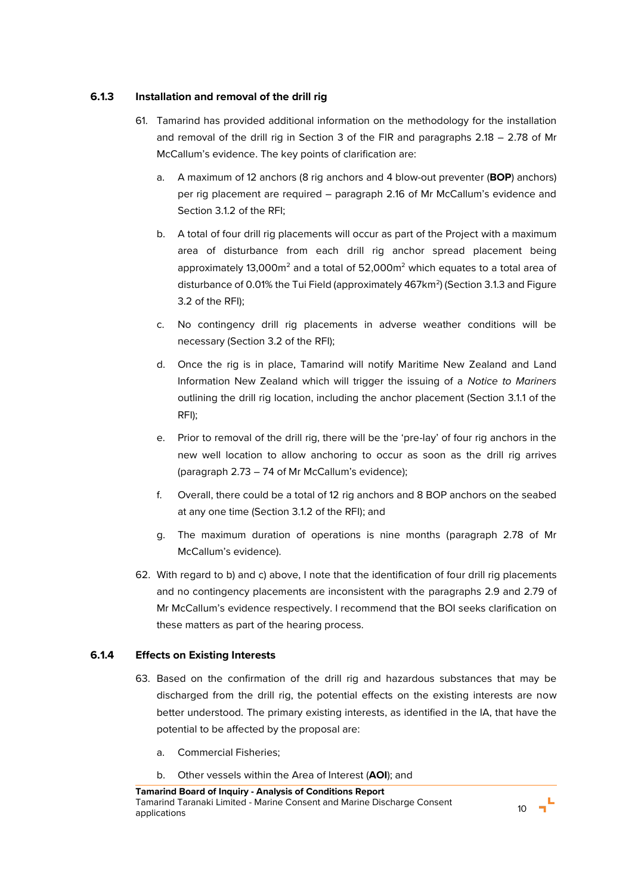## **6.1.3 Installation and removal of the drill rig**

- 61. Tamarind has provided additional information on the methodology for the installation and removal of the drill rig in Section 3 of the FIR and paragraphs 2.18 – 2.78 of Mr McCallum's evidence. The key points of clarification are:
	- a. A maximum of 12 anchors (8 rig anchors and 4 blow-out preventer (**BOP**) anchors) per rig placement are required – paragraph 2.16 of Mr McCallum's evidence and Section 3.1.2 of the RFI;
	- b. A total of four drill rig placements will occur as part of the Project with a maximum area of disturbance from each drill rig anchor spread placement being approximately 13,000 $m^2$  and a total of 52,000 $m^2$  which equates to a total area of disturbance of 0.01% the Tui Field (approximately 467km<sup>2</sup>) (Section 3.1.3 and Figure 3.2 of the RFI);
	- c. No contingency drill rig placements in adverse weather conditions will be necessary (Section 3.2 of the RFI);
	- d. Once the rig is in place, Tamarind will notify Maritime New Zealand and Land Information New Zealand which will trigger the issuing of a *Notice to Mariners*  outlining the drill rig location, including the anchor placement (Section 3.1.1 of the RFI);
	- e. Prior to removal of the drill rig, there will be the 'pre-lay' of four rig anchors in the new well location to allow anchoring to occur as soon as the drill rig arrives (paragraph 2.73 – 74 of Mr McCallum's evidence);
	- f. Overall, there could be a total of 12 rig anchors and 8 BOP anchors on the seabed at any one time (Section 3.1.2 of the RFI); and
	- g. The maximum duration of operations is nine months (paragraph 2.78 of Mr McCallum's evidence).
- 62. With regard to b) and c) above, I note that the identification of four drill rig placements and no contingency placements are inconsistent with the paragraphs 2.9 and 2.79 of Mr McCallum's evidence respectively. I recommend that the BOI seeks clarification on these matters as part of the hearing process.

# **6.1.4 Effects on Existing Interests**

- 63. Based on the confirmation of the drill rig and hazardous substances that may be discharged from the drill rig, the potential effects on the existing interests are now better understood. The primary existing interests, as identified in the IA, that have the potential to be affected by the proposal are:
	- a. Commercial Fisheries;
	- b. Other vessels within the Area of Interest (**AOI**); and

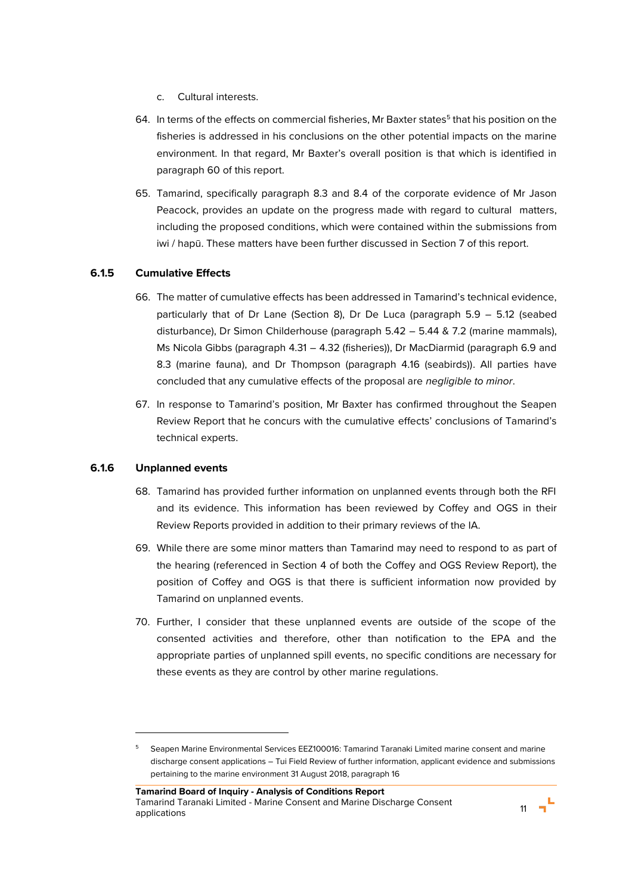- c. Cultural interests.
- 64. In terms of the effects on commercial fisheries, Mr Baxter states $^5$  that his position on the  $\,$ fisheries is addressed in his conclusions on the other potential impacts on the marine environment. In that regard, Mr Baxter's overall position is that which is identified in paragraph [60](#page-11-0) of this report.
- 65. Tamarind, specifically paragraph 8.3 and 8.4 of the corporate evidence of Mr Jason Peacock, provides an update on the progress made with regard to cultural matters, including the proposed conditions, which were contained within the submissions from iwi / hapū. These matters have been further discussed in Section 7 of this report.

## **6.1.5 Cumulative Effects**

- 66. The matter of cumulative effects has been addressed in Tamarind's technical evidence, particularly that of Dr Lane (Section 8), Dr De Luca (paragraph 5.9 – 5.12 (seabed disturbance), Dr Simon Childerhouse (paragraph 5.42 – 5.44 & 7.2 (marine mammals), Ms Nicola Gibbs (paragraph 4.31 – 4.32 (fisheries)), Dr MacDiarmid (paragraph 6.9 and 8.3 (marine fauna), and Dr Thompson (paragraph 4.16 (seabirds)). All parties have concluded that any cumulative effects of the proposal are *negligible to minor*.
- 67. In response to Tamarind's position, Mr Baxter has confirmed throughout the Seapen Review Report that he concurs with the cumulative effects' conclusions of Tamarind's technical experts.

## **6.1.6 Unplanned events**

l

- 68. Tamarind has provided further information on unplanned events through both the RFI and its evidence. This information has been reviewed by Coffey and OGS in their Review Reports provided in addition to their primary reviews of the IA.
- 69. While there are some minor matters than Tamarind may need to respond to as part of the hearing (referenced in Section 4 of both the Coffey and OGS Review Report), the position of Coffey and OGS is that there is sufficient information now provided by Tamarind on unplanned events.
- 70. Further, I consider that these unplanned events are outside of the scope of the consented activities and therefore, other than notification to the EPA and the appropriate parties of unplanned spill events, no specific conditions are necessary for these events as they are control by other marine regulations.



<sup>5</sup> Seapen Marine Environmental Services EEZ100016: Tamarind Taranaki Limited marine consent and marine discharge consent applications – Tui Field Review of further information, applicant evidence and submissions pertaining to the marine environment 31 August 2018, paragraph 16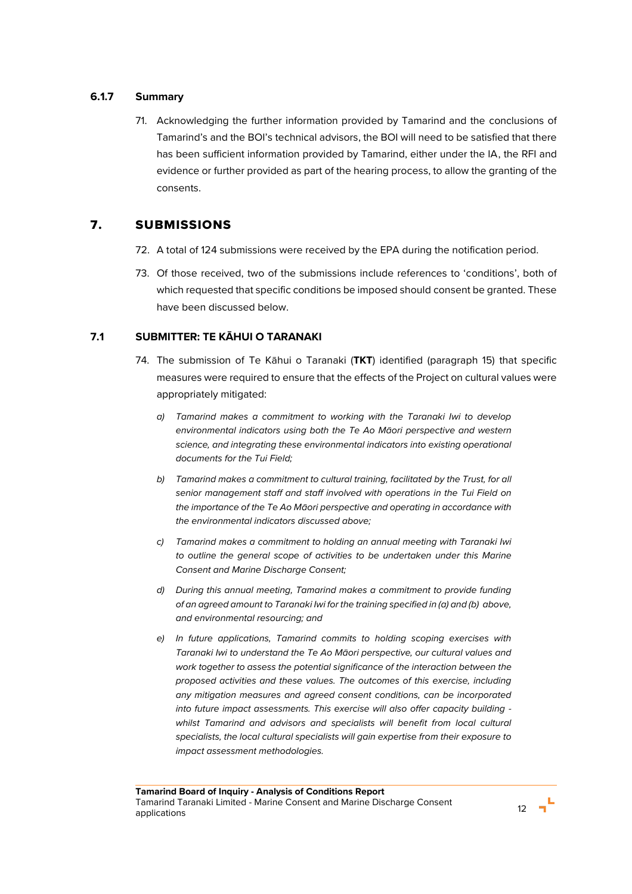## **6.1.7 Summary**

71. Acknowledging the further information provided by Tamarind and the conclusions of Tamarind's and the BOI's technical advisors, the BOI will need to be satisfied that there has been sufficient information provided by Tamarind, either under the IA, the RFI and evidence or further provided as part of the hearing process, to allow the granting of the consents.

# 7. SUBMISSIONS

- 72. A total of 124 submissions were received by the EPA during the notification period.
- 73. Of those received, two of the submissions include references to 'conditions', both of which requested that specific conditions be imposed should consent be granted. These have been discussed below.

# **7.1 SUBMITTER: TE KĀHUI O TARANAKI**

- 74. The submission of Te Kāhui o Taranaki (**TKT**) identified (paragraph 15) that specific measures were required to ensure that the effects of the Project on cultural values were appropriately mitigated:
	- *a) Tamarind makes a commitment to working with the Taranaki Iwi to develop environmental indicators using both the Te Ao Māori perspective and western science, and integrating these environmental indicators into existing operational documents for the Tui Field;*
	- *b) Tamarind makes a commitment to cultural training, facilitated by the Trust, for all senior management staff and staff involved with operations in the Tui Field on the importance of the Te Ao Māori perspective and operating in accordance with the environmental indicators discussed above;*
	- *c) Tamarind makes a commitment to holding an annual meeting with Taranaki Iwi to outline the general scope of activities to be undertaken under this Marine Consent and Marine Discharge Consent;*
	- *d) During this annual meeting, Tamarind makes a commitment to provide funding of an agreed amount to Taranaki Iwi for the training specified in (a) and (b) above, and environmental resourcing; and*
	- *e) In future applications, Tamarind commits to holding scoping exercises with Taranaki Iwi to understand the Te Ao Māori perspective, our cultural values and work together to assess the potential significance of the interaction between the proposed activities and these values. The outcomes of this exercise, including any mitigation measures and agreed consent conditions, can be incorporated into future impact assessments. This exercise will also offer capacity building*  whilst Tamarind and advisors and specialists will benefit from local cultural *specialists, the local cultural specialists will gain expertise from their exposure to impact assessment methodologies.*

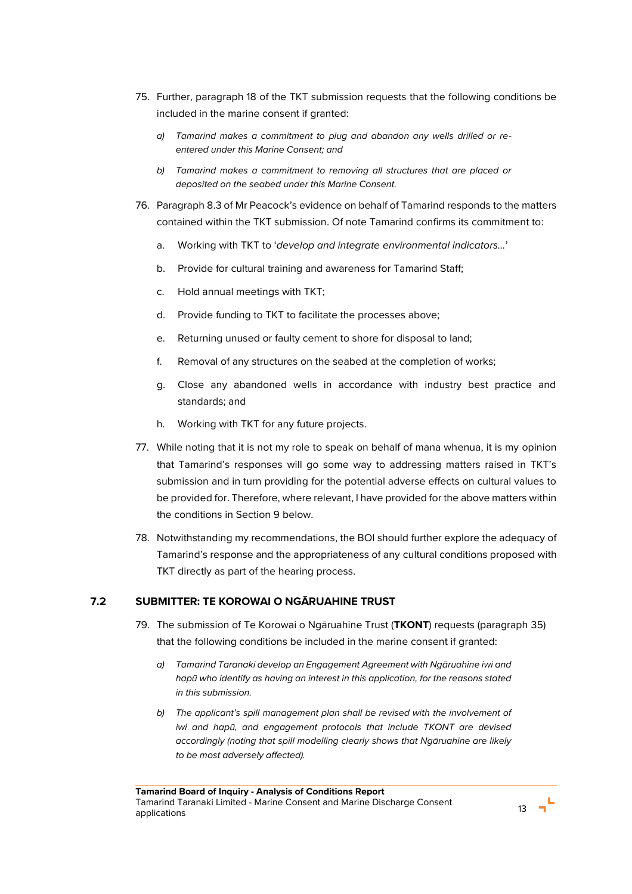- 75. Further, paragraph 18 of the TKT submission requests that the following conditions be included in the marine consent if granted:
	- *a) Tamarind makes a commitment to plug and abandon any wells drilled or reentered under this Marine Consent; and*
	- *b) Tamarind makes a commitment to removing all structures that are placed or deposited on the seabed under this Marine Consent.*
- 76. Paragraph 8.3 of Mr Peacock's evidence on behalf of Tamarind responds to the matters contained within the TKT submission. Of note Tamarind confirms its commitment to:
	- a. Working with TKT to '*develop and integrate environmental indicators…*'
	- b. Provide for cultural training and awareness for Tamarind Staff;
	- c. Hold annual meetings with TKT;
	- d. Provide funding to TKT to facilitate the processes above;
	- e. Returning unused or faulty cement to shore for disposal to land;
	- f. Removal of any structures on the seabed at the completion of works;
	- g. Close any abandoned wells in accordance with industry best practice and standards; and
	- h. Working with TKT for any future projects.
- <span id="page-15-0"></span>77. While noting that it is not my role to speak on behalf of mana whenua, it is my opinion that Tamarind's responses will go some way to addressing matters raised in TKT's submission and in turn providing for the potential adverse effects on cultural values to be provided for. Therefore, where relevant, I have provided for the above matters within the conditions in Section 9 below.
- 78. Notwithstanding my recommendations, the BOI should further explore the adequacy of Tamarind's response and the appropriateness of any cultural conditions proposed with TKT directly as part of the hearing process.

## **7.2 SUBMITTER: TE KOROWAI O NGĀRUAHINE TRUST**

- 79. The submission of Te Korowai o Ngāruahine Trust (**TKONT**) requests (paragraph 35) that the following conditions be included in the marine consent if granted:
	- *a) Tamarind Taranaki develop an Engagement Agreement with Ngāruahine iwi and hapū who identify as having an interest in this application, for the reasons stated in this submission.*
	- *b) The applicant's spill management plan shall be revised with the involvement of iwi and hapū, and engagement protocols that include TKONT are devised accordingly (noting that spill modelling clearly shows that Ngāruahine are likely to be most adversely affected).*

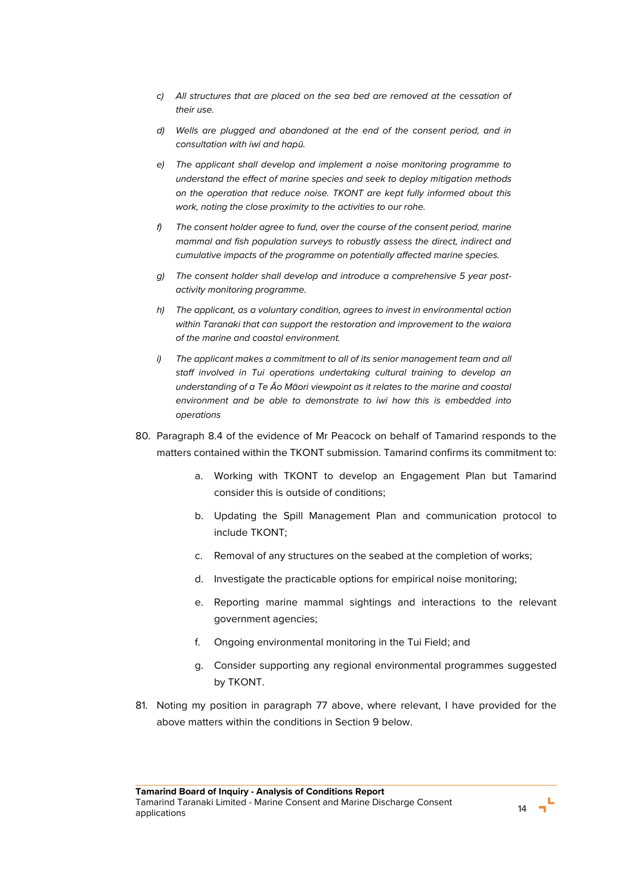- *c) All structures that are placed on the sea bed are removed at the cessation of their use.*
- *d) Wells are plugged and abandoned at the end of the consent period, and in consultation with iwi and hapū.*
- *e) The applicant shall develop and implement a noise monitoring programme to understand the effect of marine species and seek to deploy mitigation methods on the operation that reduce noise. TKONT are kept fully informed about this work, noting the close proximity to the activities to our rohe.*
- *f) The consent holder agree to fund, over the course of the consent period, marine mammal and fish population surveys to robustly assess the direct, indirect and cumulative impacts of the programme on potentially affected marine species.*
- *g) The consent holder shall develop and introduce a comprehensive 5 year postactivity monitoring programme.*
- *h) The applicant, as a voluntary condition, agrees to invest in environmental action within Taranaki that can support the restoration and improvement to the waiora of the marine and coastal environment.*
- *i) The applicant makes a commitment to all of its senior management team and all staff involved in Tui operations undertaking cultural training to develop an understanding of a Te Āo Māori viewpoint as it relates to the marine and coastal environment and be able to demonstrate to iwi how this is embedded into operations*
- 80. Paragraph 8.4 of the evidence of Mr Peacock on behalf of Tamarind responds to the matters contained within the TKONT submission. Tamarind confirms its commitment to:
	- a. Working with TKONT to develop an Engagement Plan but Tamarind consider this is outside of conditions;
	- b. Updating the Spill Management Plan and communication protocol to include TKONT;
	- c. Removal of any structures on the seabed at the completion of works;
	- d. Investigate the practicable options for empirical noise monitoring;
	- e. Reporting marine mammal sightings and interactions to the relevant government agencies;
	- f. Ongoing environmental monitoring in the Tui Field; and
	- g. Consider supporting any regional environmental programmes suggested by TKONT.
- 81. Noting my position in paragraph [77](#page-15-0) above, where relevant, I have provided for the above matters within the conditions in Section 9 below.

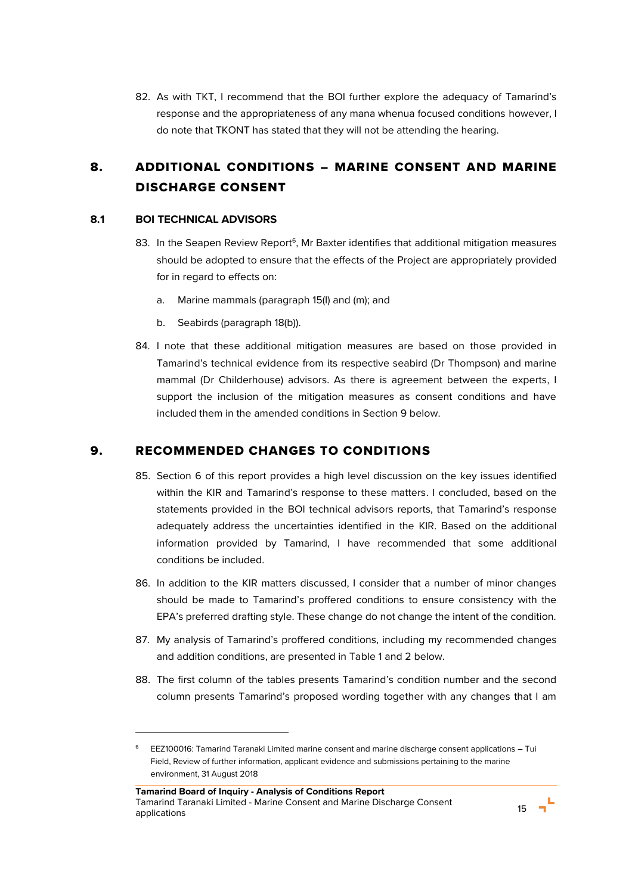82. As with TKT, I recommend that the BOI further explore the adequacy of Tamarind's response and the appropriateness of any mana whenua focused conditions however, I do note that TKONT has stated that they will not be attending the hearing.

# 8. ADDITIONAL CONDITIONS – MARINE CONSENT AND MARINE DISCHARGE CONSENT

## **8.1 BOI TECHNICAL ADVISORS**

l

- 83. In the Seapen Review Report<sup>6</sup>, Mr Baxter identifies that additional mitigation measures should be adopted to ensure that the effects of the Project are appropriately provided for in regard to effects on:
	- a. Marine mammals (paragraph 15(I) and (m); and
	- b. Seabirds (paragraph 18(b)).
- 84. I note that these additional mitigation measures are based on those provided in Tamarind's technical evidence from its respective seabird (Dr Thompson) and marine mammal (Dr Childerhouse) advisors. As there is agreement between the experts, I support the inclusion of the mitigation measures as consent conditions and have included them in the amended conditions in Section 9 below.

# 9. RECOMMENDED CHANGES TO CONDITIONS

- 85. Section 6 of this report provides a high level discussion on the key issues identified within the KIR and Tamarind's response to these matters. I concluded, based on the statements provided in the BOI technical advisors reports, that Tamarind's response adequately address the uncertainties identified in the KIR. Based on the additional information provided by Tamarind, I have recommended that some additional conditions be included.
- 86. In addition to the KIR matters discussed, I consider that a number of minor changes should be made to Tamarind's proffered conditions to ensure consistency with the EPA's preferred drafting style. These change do not change the intent of the condition.
- 87. My analysis of Tamarind's proffered conditions, including my recommended changes and addition conditions, are presented in Table 1 and 2 below.
- 88. The first column of the tables presents Tamarind's condition number and the second column presents Tamarind's proposed wording together with any changes that I am



<sup>6</sup> EEZ100016: Tamarind Taranaki Limited marine consent and marine discharge consent applications – Tui Field, Review of further information, applicant evidence and submissions pertaining to the marine environment, 31 August 2018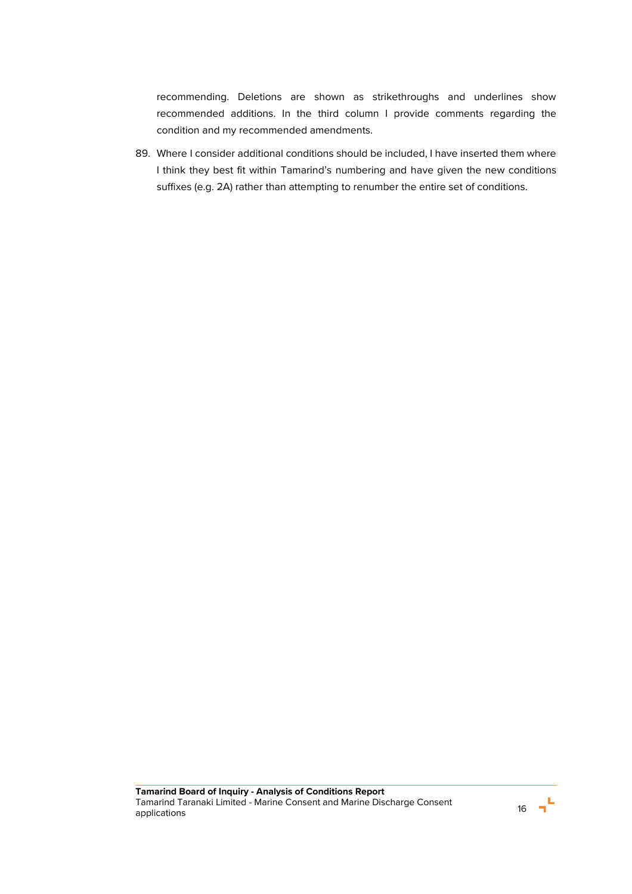recommending. Deletions are shown as strikethroughs and underlines show recommended additions. In the third column I provide comments regarding the condition and my recommended amendments.

89. Where I consider additional conditions should be included, I have inserted them where I think they best fit within Tamarind's numbering and have given the new conditions suffixes (e.g. 2A) rather than attempting to renumber the entire set of conditions.

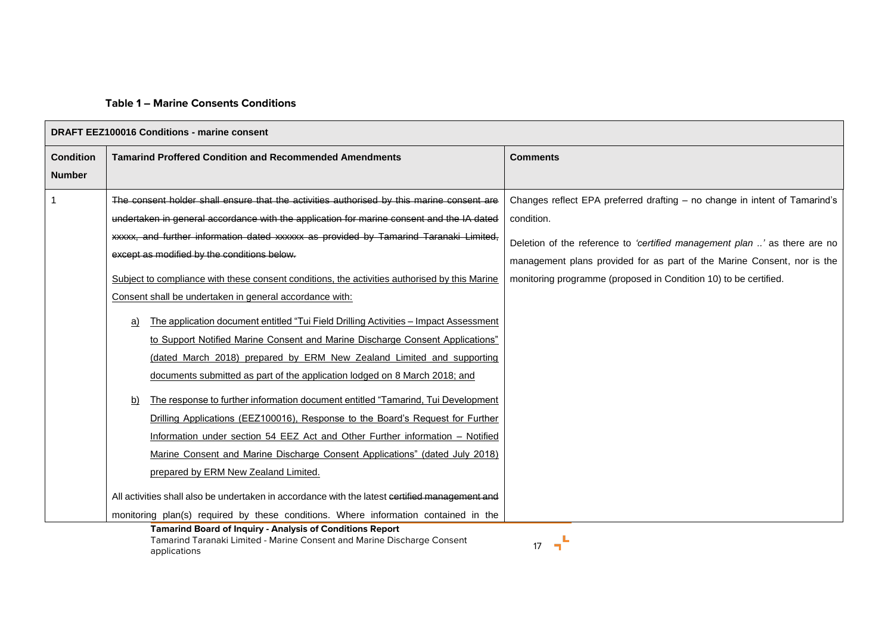## **Table 1 – Marine Consents Conditions**

| <b>DRAFT EEZ100016 Conditions - marine consent</b> |                                                                                                |                                                                            |  |
|----------------------------------------------------|------------------------------------------------------------------------------------------------|----------------------------------------------------------------------------|--|
| <b>Condition</b>                                   | <b>Tamarind Proffered Condition and Recommended Amendments</b>                                 | <b>Comments</b>                                                            |  |
| <b>Number</b>                                      |                                                                                                |                                                                            |  |
|                                                    | The consent holder shall ensure that the activities authorised by this marine consent are      | Changes reflect EPA preferred drafting - no change in intent of Tamarind's |  |
|                                                    | undertaken in general accordance with the application for marine consent and the IA dated      | condition.                                                                 |  |
|                                                    | xxxxx, and further information dated xxxxxx as provided by Tamarind Taranaki Limited,          | Deletion of the reference to 'certified management plan ' as there are no  |  |
|                                                    | except as modified by the conditions below.                                                    | management plans provided for as part of the Marine Consent, nor is the    |  |
|                                                    | Subject to compliance with these consent conditions, the activities authorised by this Marine  | monitoring programme (proposed in Condition 10) to be certified.           |  |
|                                                    | Consent shall be undertaken in general accordance with:                                        |                                                                            |  |
|                                                    | The application document entitled "Tui Field Drilling Activities - Impact Assessment<br>a)     |                                                                            |  |
|                                                    | to Support Notified Marine Consent and Marine Discharge Consent Applications"                  |                                                                            |  |
|                                                    | (dated March 2018) prepared by ERM New Zealand Limited and supporting                          |                                                                            |  |
|                                                    | documents submitted as part of the application lodged on 8 March 2018; and                     |                                                                            |  |
|                                                    | The response to further information document entitled "Tamarind, Tui Development"<br>b)        |                                                                            |  |
|                                                    | Drilling Applications (EEZ100016), Response to the Board's Request for Further                 |                                                                            |  |
|                                                    | Information under section 54 EEZ Act and Other Further information - Notified                  |                                                                            |  |
|                                                    | Marine Consent and Marine Discharge Consent Applications" (dated July 2018)                    |                                                                            |  |
|                                                    | prepared by ERM New Zealand Limited.                                                           |                                                                            |  |
|                                                    | All activities shall also be undertaken in accordance with the latest cortified management and |                                                                            |  |
|                                                    | monitoring plan(s) required by these conditions. Where information contained in the            |                                                                            |  |

**Tamarind Board of Inquiry - Analysis of Conditions Report**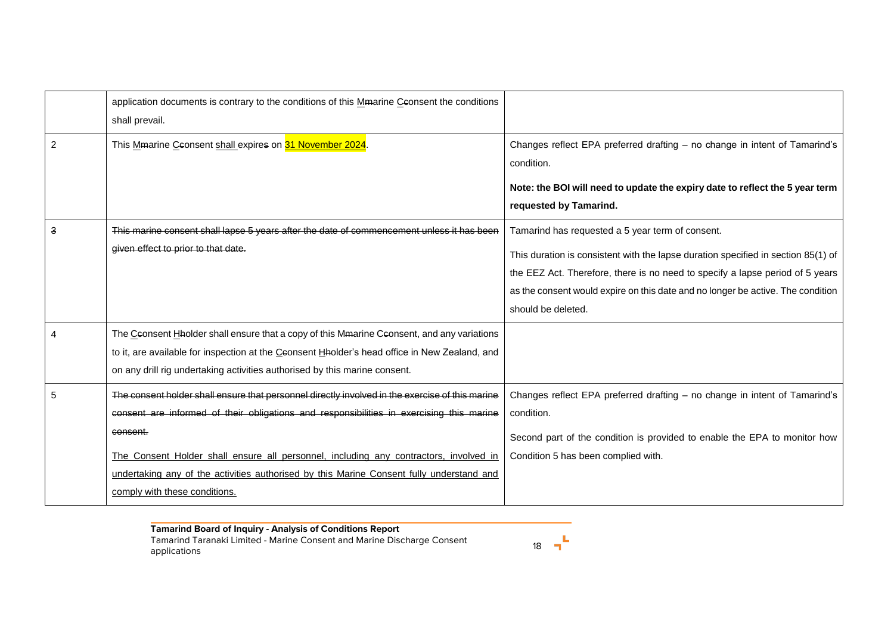|   | application documents is contrary to the conditions of this Memarine Ceonsent the conditions<br>shall prevail.                                                                                                                                                                                                                                                                                                                |                                                                                                                                                                                                                                                                                                                                 |
|---|-------------------------------------------------------------------------------------------------------------------------------------------------------------------------------------------------------------------------------------------------------------------------------------------------------------------------------------------------------------------------------------------------------------------------------|---------------------------------------------------------------------------------------------------------------------------------------------------------------------------------------------------------------------------------------------------------------------------------------------------------------------------------|
| 2 | This Mmarine Ceonsent shall expires on 31 November 2024                                                                                                                                                                                                                                                                                                                                                                       | Changes reflect EPA preferred drafting - no change in intent of Tamarind's<br>condition.                                                                                                                                                                                                                                        |
|   |                                                                                                                                                                                                                                                                                                                                                                                                                               | Note: the BOI will need to update the expiry date to reflect the 5 year term<br>requested by Tamarind.                                                                                                                                                                                                                          |
| 3 | This marine consent shall lapse 5 years after the date of commencement unless it has been<br>given effect to prior to that date.                                                                                                                                                                                                                                                                                              | Tamarind has requested a 5 year term of consent.<br>This duration is consistent with the lapse duration specified in section 85(1) of<br>the EEZ Act. Therefore, there is no need to specify a lapse period of 5 years<br>as the consent would expire on this date and no longer be active. The condition<br>should be deleted. |
|   | The Ceonsent Hholder shall ensure that a copy of this Mmarine Ceonsent, and any variations<br>to it, are available for inspection at the Ceonsent Hholder's head office in New Zealand, and<br>on any drill rig undertaking activities authorised by this marine consent.                                                                                                                                                     |                                                                                                                                                                                                                                                                                                                                 |
|   | The consent holder shall ensure that personnel directly involved in the exercise of this marine<br>consent are informed of their obligations and responsibilities in exercising this marine<br>consent.<br>The Consent Holder shall ensure all personnel, including any contractors, involved in<br>undertaking any of the activities authorised by this Marine Consent fully understand and<br>comply with these conditions. | Changes reflect EPA preferred drafting - no change in intent of Tamarind's<br>condition.<br>Second part of the condition is provided to enable the EPA to monitor how<br>Condition 5 has been complied with.                                                                                                                    |

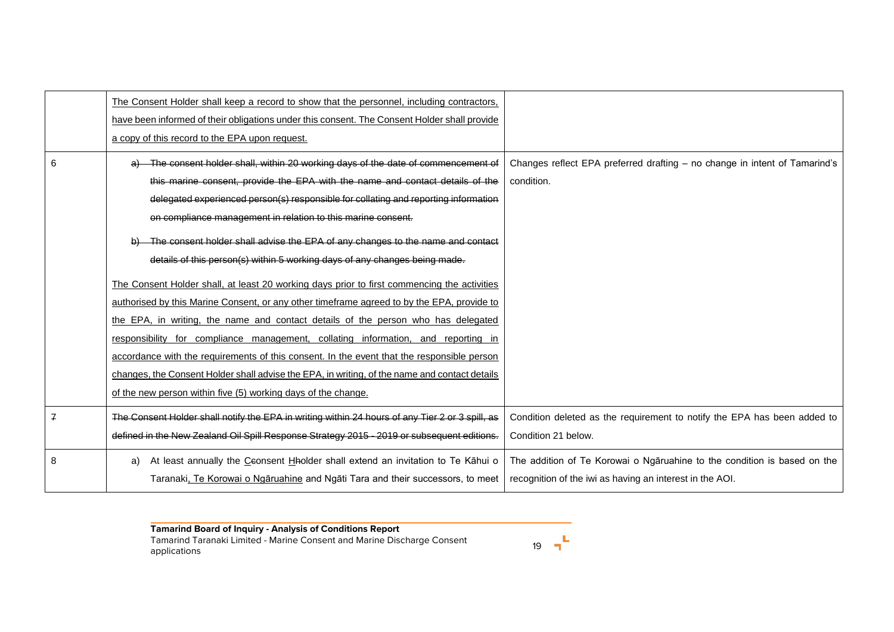|              | The Consent Holder shall keep a record to show that the personnel, including contractors,       |                                                                            |
|--------------|-------------------------------------------------------------------------------------------------|----------------------------------------------------------------------------|
|              | have been informed of their obligations under this consent. The Consent Holder shall provide    |                                                                            |
|              | a copy of this record to the EPA upon request.                                                  |                                                                            |
| 6            | The consent holder shall, within 20 working days of the date of commencement of                 | Changes reflect EPA preferred drafting - no change in intent of Tamarind's |
|              | this marine consent, provide the EPA with the name and contact details of the                   | condition.                                                                 |
|              | delegated experienced person(s) responsible for collating and reporting information             |                                                                            |
|              | on compliance management in relation to this marine consent.                                    |                                                                            |
|              | The consent holder shall advise the EPA of any changes to the name and contact                  |                                                                            |
|              | details of this person(s) within 5 working days of any changes being made.                      |                                                                            |
|              | The Consent Holder shall, at least 20 working days prior to first commencing the activities     |                                                                            |
|              | authorised by this Marine Consent, or any other timeframe agreed to by the EPA, provide to      |                                                                            |
|              | the EPA, in writing, the name and contact details of the person who has delegated               |                                                                            |
|              | responsibility for compliance management, collating information, and reporting in               |                                                                            |
|              | accordance with the requirements of this consent. In the event that the responsible person      |                                                                            |
|              | changes, the Consent Holder shall advise the EPA, in writing, of the name and contact details   |                                                                            |
|              | of the new person within five (5) working days of the change.                                   |                                                                            |
| $\mathbf{z}$ | The Consent Holder shall notify the EPA in writing within 24 hours of any Tier 2 or 3 spill, as | Condition deleted as the requirement to notify the EPA has been added to   |
|              | defined in the New Zealand Oil Spill Response Strategy 2015 - 2019 or subsequent editions.      | Condition 21 below.                                                        |
| 8            | At least annually the Ceonsent Hholder shall extend an invitation to Te Kahui o<br>a)           | The addition of Te Korowai o Ngāruahine to the condition is based on the   |
|              | Taranaki, Te Korowai o Ngaruahine and Ngati Tara and their successors, to meet                  | recognition of the iwi as having an interest in the AOI.                   |

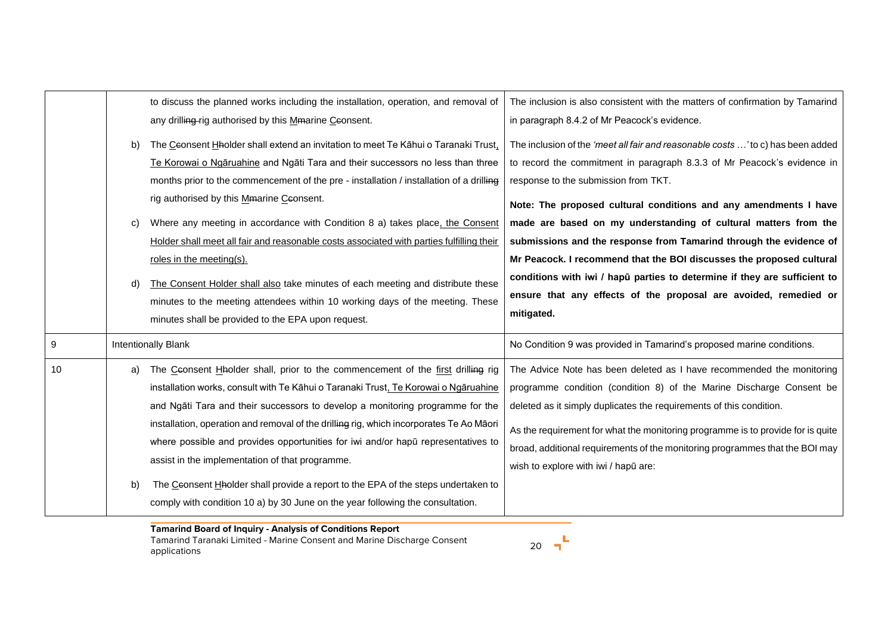|    | b)<br>C)<br>d) | to discuss the planned works including the installation, operation, and removal of<br>any drilling-rig authorised by this Mmarine Ceonsent.<br>The Ceonsent Hholder shall extend an invitation to meet Te Kāhui o Taranaki Trust,<br>Te Korowai o Ngaruahine and Ngati Tara and their successors no less than three<br>months prior to the commencement of the pre - installation / installation of a drilling<br>rig authorised by this Mmarine Ceonsent.<br>Where any meeting in accordance with Condition 8 a) takes place, the Consent<br>Holder shall meet all fair and reasonable costs associated with parties fulfilling their<br>roles in the meeting(s).<br>The Consent Holder shall also take minutes of each meeting and distribute these<br>minutes to the meeting attendees within 10 working days of the meeting. These<br>minutes shall be provided to the EPA upon request. | The inclusion is also consistent with the matters of confirmation by Tamarind<br>in paragraph 8.4.2 of Mr Peacock's evidence.<br>The inclusion of the 'meet all fair and reasonable costs ' to c) has been added<br>to record the commitment in paragraph 8.3.3 of Mr Peacock's evidence in<br>response to the submission from TKT.<br>Note: The proposed cultural conditions and any amendments I have<br>made are based on my understanding of cultural matters from the<br>submissions and the response from Tamarind through the evidence of<br>Mr Peacock. I recommend that the BOI discusses the proposed cultural<br>conditions with iwi / hapū parties to determine if they are sufficient to<br>ensure that any effects of the proposal are avoided, remedied or<br>mitigated. |
|----|----------------|----------------------------------------------------------------------------------------------------------------------------------------------------------------------------------------------------------------------------------------------------------------------------------------------------------------------------------------------------------------------------------------------------------------------------------------------------------------------------------------------------------------------------------------------------------------------------------------------------------------------------------------------------------------------------------------------------------------------------------------------------------------------------------------------------------------------------------------------------------------------------------------------|-----------------------------------------------------------------------------------------------------------------------------------------------------------------------------------------------------------------------------------------------------------------------------------------------------------------------------------------------------------------------------------------------------------------------------------------------------------------------------------------------------------------------------------------------------------------------------------------------------------------------------------------------------------------------------------------------------------------------------------------------------------------------------------------|
| 9  |                | <b>Intentionally Blank</b>                                                                                                                                                                                                                                                                                                                                                                                                                                                                                                                                                                                                                                                                                                                                                                                                                                                                   | No Condition 9 was provided in Tamarind's proposed marine conditions.                                                                                                                                                                                                                                                                                                                                                                                                                                                                                                                                                                                                                                                                                                                   |
| 10 | a)<br>b)       | The Ceonsent Hholder shall, prior to the commencement of the first drilling rig<br>installation works, consult with Te Kāhui o Taranaki Trust, Te Korowai o Ngāruahine<br>and Ngāti Tara and their successors to develop a monitoring programme for the<br>installation, operation and removal of the drilling rig, which incorporates Te Ao Māori<br>where possible and provides opportunities for iwi and/or hapu representatives to<br>assist in the implementation of that programme.<br>The Ceonsent Hholder shall provide a report to the EPA of the steps undertaken to<br>comply with condition 10 a) by 30 June on the year following the consultation.                                                                                                                                                                                                                             | The Advice Note has been deleted as I have recommended the monitoring<br>programme condition (condition 8) of the Marine Discharge Consent be<br>deleted as it simply duplicates the requirements of this condition.<br>As the requirement for what the monitoring programme is to provide for is quite<br>broad, additional requirements of the monitoring programmes that the BOI may<br>wish to explore with iwi / hapū are:                                                                                                                                                                                                                                                                                                                                                         |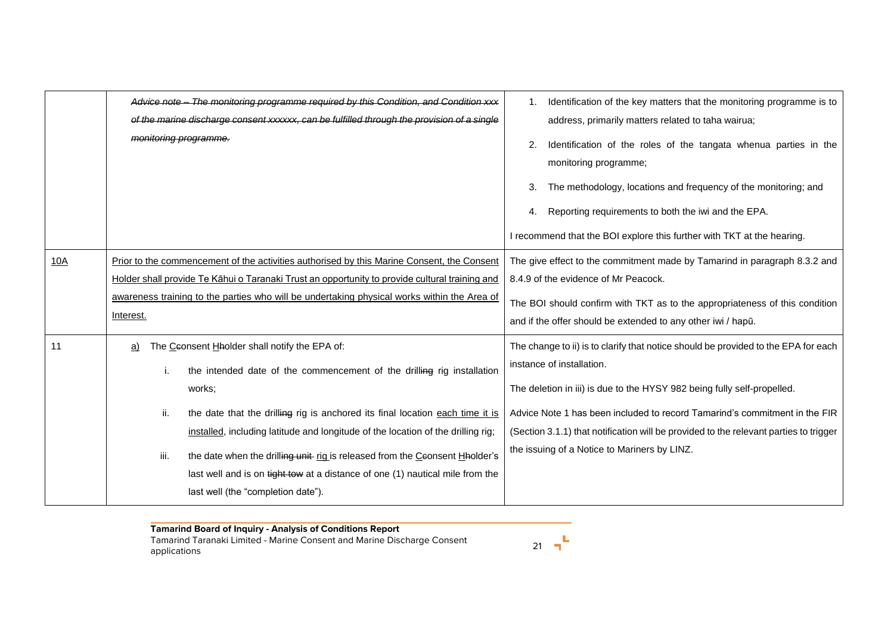|     | Advice note - The monitoring programme required by this Condition, and Condition xxx<br>of the marine discharge consent xxxxxx, can be fulfilled through the provision of a single<br>monitoring programme.                                                                                                                                                                                                                                                                                                                             | Identification of the key matters that the monitoring programme is to<br>address, primarily matters related to taha wairua;<br>2.<br>Identification of the roles of the tangata whenua parties in the<br>monitoring programme;<br>The methodology, locations and frequency of the monitoring; and<br>3.<br>Reporting requirements to both the iwi and the EPA.<br>4.<br>I recommend that the BOI explore this further with TKT at the hearing. |
|-----|-----------------------------------------------------------------------------------------------------------------------------------------------------------------------------------------------------------------------------------------------------------------------------------------------------------------------------------------------------------------------------------------------------------------------------------------------------------------------------------------------------------------------------------------|------------------------------------------------------------------------------------------------------------------------------------------------------------------------------------------------------------------------------------------------------------------------------------------------------------------------------------------------------------------------------------------------------------------------------------------------|
| 10A | Prior to the commencement of the activities authorised by this Marine Consent, the Consent<br>Holder shall provide Te Kāhui o Taranaki Trust an opportunity to provide cultural training and<br>awareness training to the parties who will be undertaking physical works within the Area of<br>Interest.                                                                                                                                                                                                                                | The give effect to the commitment made by Tamarind in paragraph 8.3.2 and<br>8.4.9 of the evidence of Mr Peacock.<br>The BOI should confirm with TKT as to the appropriateness of this condition<br>and if the offer should be extended to any other iwi / hapū.                                                                                                                                                                               |
| 11  | The Ceonsent Hholder shall notify the EPA of:<br>a)<br>the intended date of the commencement of the drilling rig installation<br>i.<br>works;<br>ii.<br>the date that the drilling rig is anchored its final location each time it is<br>installed, including latitude and longitude of the location of the drilling rig;<br>iii.<br>the date when the drilling unit rig is released from the Ceonsent Hholder's<br>last well and is on tight tow at a distance of one (1) nautical mile from the<br>last well (the "completion date"). | The change to ii) is to clarify that notice should be provided to the EPA for each<br>instance of installation.<br>The deletion in iii) is due to the HYSY 982 being fully self-propelled.<br>Advice Note 1 has been included to record Tamarind's commitment in the FIR<br>(Section 3.1.1) that notification will be provided to the relevant parties to trigger<br>the issuing of a Notice to Mariners by LINZ.                              |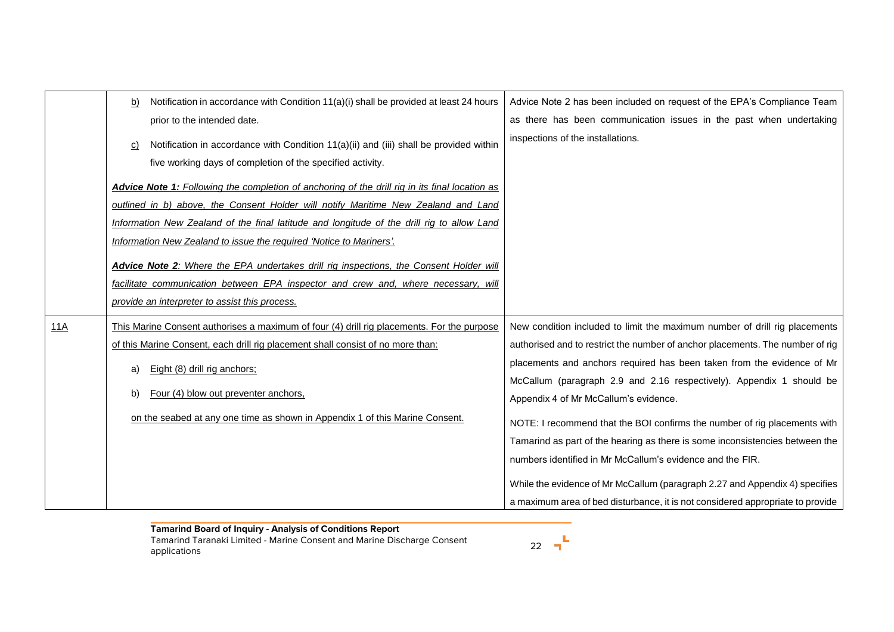|     | Notification in accordance with Condition 11(a)(i) shall be provided at least 24 hours<br>b)                                                         | Advice Note 2 has been included on request of the EPA's Compliance Team        |
|-----|------------------------------------------------------------------------------------------------------------------------------------------------------|--------------------------------------------------------------------------------|
|     | prior to the intended date.                                                                                                                          | as there has been communication issues in the past when undertaking            |
|     | Notification in accordance with Condition 11(a)(ii) and (iii) shall be provided within<br>five working days of completion of the specified activity. | inspections of the installations.                                              |
|     | <b>Advice Note 1:</b> Following the completion of anchoring of the drill rig in its final location as                                                |                                                                                |
|     | outlined in b) above, the Consent Holder will notify Maritime New Zealand and Land                                                                   |                                                                                |
|     | Information New Zealand of the final latitude and longitude of the drill rig to allow Land                                                           |                                                                                |
|     | Information New Zealand to issue the required 'Notice to Mariners'.                                                                                  |                                                                                |
|     | Advice Note 2: Where the EPA undertakes drill rig inspections, the Consent Holder will                                                               |                                                                                |
|     | facilitate communication between EPA inspector and crew and, where necessary, will                                                                   |                                                                                |
|     | provide an interpreter to assist this process.                                                                                                       |                                                                                |
| 11A | This Marine Consent authorises a maximum of four (4) drill rig placements. For the purpose                                                           | New condition included to limit the maximum number of drill rig placements     |
|     | of this Marine Consent, each drill rig placement shall consist of no more than:                                                                      | authorised and to restrict the number of anchor placements. The number of rig  |
|     | Eight (8) drill rig anchors;<br>a)                                                                                                                   | placements and anchors required has been taken from the evidence of Mr         |
|     |                                                                                                                                                      | McCallum (paragraph 2.9 and 2.16 respectively). Appendix 1 should be           |
|     | Four (4) blow out preventer anchors,<br>b)                                                                                                           | Appendix 4 of Mr McCallum's evidence.                                          |
|     | on the seabed at any one time as shown in Appendix 1 of this Marine Consent.                                                                         | NOTE: I recommend that the BOI confirms the number of rig placements with      |
|     |                                                                                                                                                      | Tamarind as part of the hearing as there is some inconsistencies between the   |
|     |                                                                                                                                                      | numbers identified in Mr McCallum's evidence and the FIR.                      |
|     |                                                                                                                                                      | While the evidence of Mr McCallum (paragraph 2.27 and Appendix 4) specifies    |
|     |                                                                                                                                                      | a maximum area of bed disturbance, it is not considered appropriate to provide |

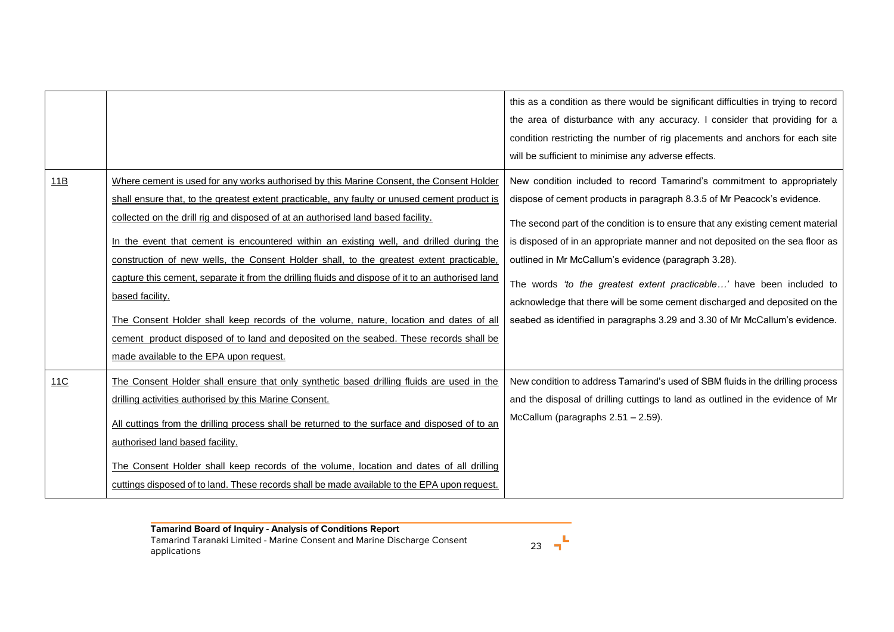|     |                                                                                                                                                                                                                                                                                                                                                                                                                                                                                    | this as a condition as there would be significant difficulties in trying to record<br>the area of disturbance with any accuracy. I consider that providing for a<br>condition restricting the number of rig placements and anchors for each site<br>will be sufficient to minimise any adverse effects.                |
|-----|------------------------------------------------------------------------------------------------------------------------------------------------------------------------------------------------------------------------------------------------------------------------------------------------------------------------------------------------------------------------------------------------------------------------------------------------------------------------------------|------------------------------------------------------------------------------------------------------------------------------------------------------------------------------------------------------------------------------------------------------------------------------------------------------------------------|
| 11B | Where cement is used for any works authorised by this Marine Consent, the Consent Holder<br>shall ensure that, to the greatest extent practicable, any faulty or unused cement product is<br>collected on the drill rig and disposed of at an authorised land based facility.<br>In the event that cement is encountered within an existing well, and drilled during the                                                                                                           | New condition included to record Tamarind's commitment to appropriately<br>dispose of cement products in paragraph 8.3.5 of Mr Peacock's evidence.<br>The second part of the condition is to ensure that any existing cement material<br>is disposed of in an appropriate manner and not deposited on the sea floor as |
|     | construction of new wells, the Consent Holder shall, to the greatest extent practicable,<br>capture this cement, separate it from the drilling fluids and dispose of it to an authorised land<br>based facility.<br>The Consent Holder shall keep records of the volume, nature, location and dates of all<br>cement product disposed of to land and deposited on the seabed. These records shall be<br>made available to the EPA upon request.                                    | outlined in Mr McCallum's evidence (paragraph 3.28).<br>The words 'to the greatest extent practicable' have been included to<br>acknowledge that there will be some cement discharged and deposited on the<br>seabed as identified in paragraphs 3.29 and 3.30 of Mr McCallum's evidence.                              |
| 11C | The Consent Holder shall ensure that only synthetic based drilling fluids are used in the<br>drilling activities authorised by this Marine Consent.<br>All cuttings from the drilling process shall be returned to the surface and disposed of to an<br>authorised land based facility.<br>The Consent Holder shall keep records of the volume, location and dates of all drilling<br>cuttings disposed of to land. These records shall be made available to the EPA upon request. | New condition to address Tamarind's used of SBM fluids in the drilling process<br>and the disposal of drilling cuttings to land as outlined in the evidence of Mr<br>McCallum (paragraphs 2.51 - 2.59).                                                                                                                |

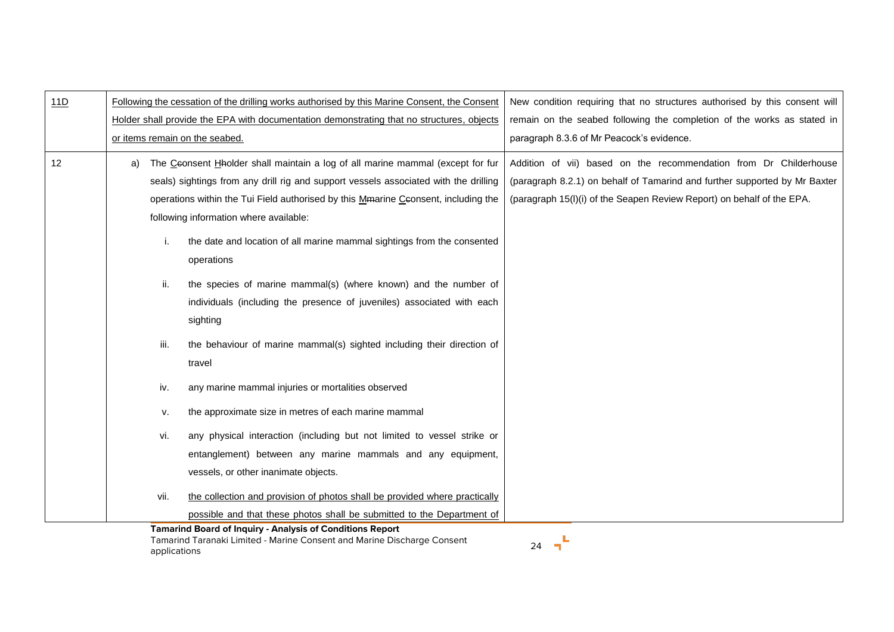| 11D | Following the cessation of the drilling works authorised by this Marine Consent, the Consent<br>Holder shall provide the EPA with documentation demonstrating that no structures, objects<br>or items remain on the seabed.                                                                                  | New condition requiring that no structures authorised by this consent will<br>remain on the seabed following the completion of the works as stated in<br>paragraph 8.3.6 of Mr Peacock's evidence.                        |
|-----|--------------------------------------------------------------------------------------------------------------------------------------------------------------------------------------------------------------------------------------------------------------------------------------------------------------|---------------------------------------------------------------------------------------------------------------------------------------------------------------------------------------------------------------------------|
| 12  | The Ceonsent Hholder shall maintain a log of all marine mammal (except for fur<br>a)<br>seals) sightings from any drill rig and support vessels associated with the drilling<br>operations within the Tui Field authorised by this Mmarine Ceonsent, including the<br>following information where available: | Addition of vii) based on the recommendation from Dr Childerhouse<br>(paragraph 8.2.1) on behalf of Tamarind and further supported by Mr Baxter<br>(paragraph 15(I)(i) of the Seapen Review Report) on behalf of the EPA. |
|     | the date and location of all marine mammal sightings from the consented<br>i.<br>operations                                                                                                                                                                                                                  |                                                                                                                                                                                                                           |
|     | the species of marine mammal(s) (where known) and the number of<br>ii.<br>individuals (including the presence of juveniles) associated with each<br>sighting                                                                                                                                                 |                                                                                                                                                                                                                           |
|     | iii.<br>the behaviour of marine mammal(s) sighted including their direction of<br>travel                                                                                                                                                                                                                     |                                                                                                                                                                                                                           |
|     | iv.<br>any marine mammal injuries or mortalities observed                                                                                                                                                                                                                                                    |                                                                                                                                                                                                                           |
|     | the approximate size in metres of each marine mammal<br>v.                                                                                                                                                                                                                                                   |                                                                                                                                                                                                                           |
|     | any physical interaction (including but not limited to vessel strike or<br>vi.<br>entanglement) between any marine mammals and any equipment,<br>vessels, or other inanimate objects.                                                                                                                        |                                                                                                                                                                                                                           |
|     | the collection and provision of photos shall be provided where practically<br>vii.<br>possible and that these photos shall be submitted to the Department of<br><b>Tamarind Board of Inquiry - Analysis of Conditions Report</b>                                                                             |                                                                                                                                                                                                                           |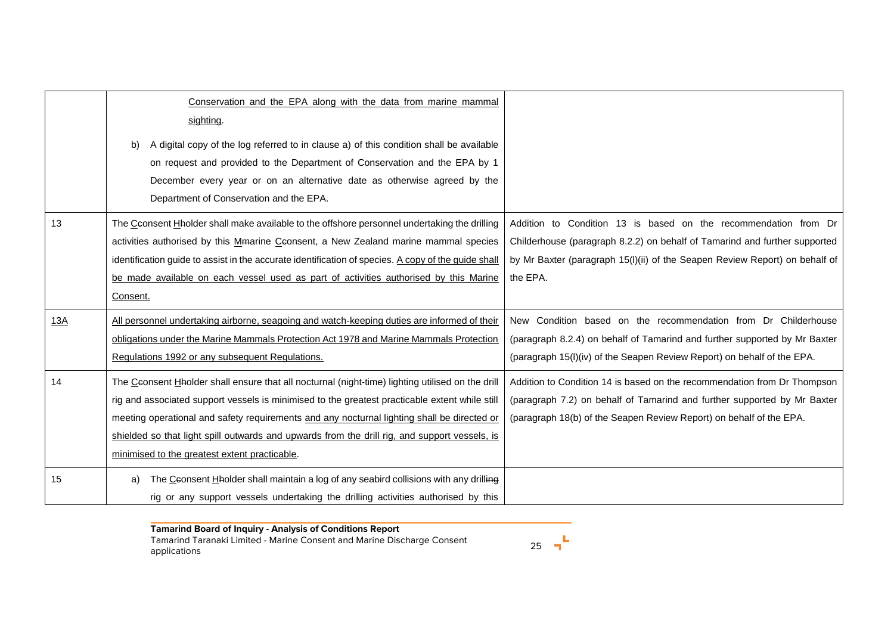|     | Conservation and the EPA along with the data from marine mammal<br>sighting.<br>A digital copy of the log referred to in clause a) of this condition shall be available<br>b)<br>on request and provided to the Department of Conservation and the EPA by 1<br>December every year or on an alternative date as otherwise agreed by the<br>Department of Conservation and the EPA.                                                                  |                                                                                                                                                                                                                                          |
|-----|-----------------------------------------------------------------------------------------------------------------------------------------------------------------------------------------------------------------------------------------------------------------------------------------------------------------------------------------------------------------------------------------------------------------------------------------------------|------------------------------------------------------------------------------------------------------------------------------------------------------------------------------------------------------------------------------------------|
| 13  | The Ceonsent Hholder shall make available to the offshore personnel undertaking the drilling<br>activities authorised by this Mmarine Ceonsent, a New Zealand marine mammal species<br>identification guide to assist in the accurate identification of species. A copy of the guide shall<br>be made available on each vessel used as part of activities authorised by this Marine<br>Consent.                                                     | Addition to Condition 13 is based on the recommendation from Dr<br>Childerhouse (paragraph 8.2.2) on behalf of Tamarind and further supported<br>by Mr Baxter (paragraph 15(I)(ii) of the Seapen Review Report) on behalf of<br>the EPA. |
| 13A | All personnel undertaking airborne, seagoing and watch-keeping duties are informed of their<br>obligations under the Marine Mammals Protection Act 1978 and Marine Mammals Protection<br>Regulations 1992 or any subsequent Regulations.                                                                                                                                                                                                            | New Condition based on the recommendation from Dr Childerhouse<br>(paragraph 8.2.4) on behalf of Tamarind and further supported by Mr Baxter<br>(paragraph 15(I)(iv) of the Seapen Review Report) on behalf of the EPA.                  |
| 14  | The Ceonsent Hholder shall ensure that all nocturnal (night-time) lighting utilised on the drill<br>rig and associated support vessels is minimised to the greatest practicable extent while still<br>meeting operational and safety requirements and any nocturnal lighting shall be directed or<br>shielded so that light spill outwards and upwards from the drill rig, and support vessels, is<br>minimised to the greatest extent practicable. | Addition to Condition 14 is based on the recommendation from Dr Thompson<br>(paragraph 7.2) on behalf of Tamarind and further supported by Mr Baxter<br>(paragraph 18(b) of the Seapen Review Report) on behalf of the EPA.              |
| 15  | The Ceonsent Hholder shall maintain a log of any seabird collisions with any drilling<br>a)<br>rig or any support vessels undertaking the drilling activities authorised by this                                                                                                                                                                                                                                                                    |                                                                                                                                                                                                                                          |

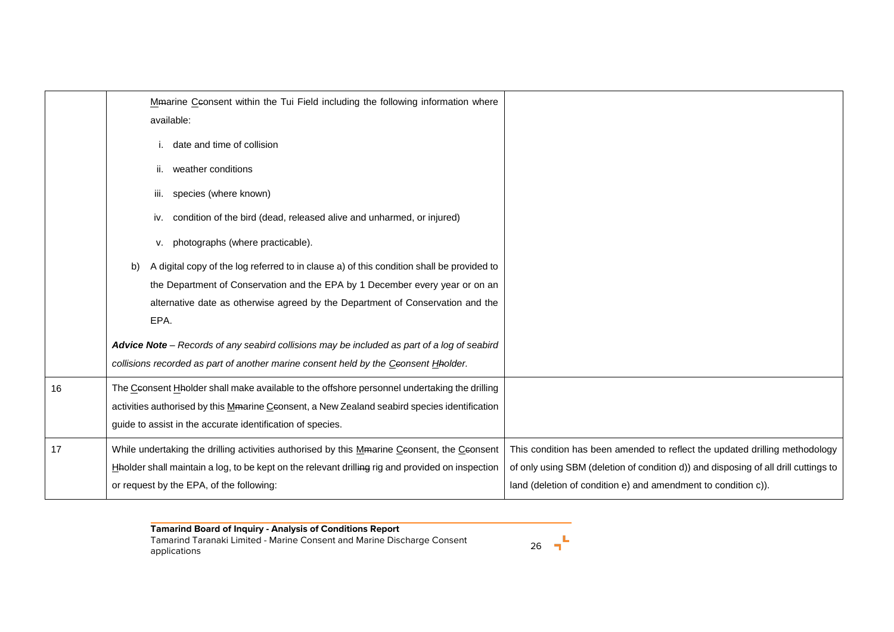|    | Mmarine Ceonsent within the Tui Field including the following information where<br>available:    |                                                                                     |
|----|--------------------------------------------------------------------------------------------------|-------------------------------------------------------------------------------------|
|    | i. date and time of collision                                                                    |                                                                                     |
|    | ii. weather conditions                                                                           |                                                                                     |
|    | species (where known)<br>iii.                                                                    |                                                                                     |
|    | condition of the bird (dead, released alive and unharmed, or injured)<br>iv.                     |                                                                                     |
|    | photographs (where practicable).<br>ν.                                                           |                                                                                     |
|    | A digital copy of the log referred to in clause a) of this condition shall be provided to<br>b)  |                                                                                     |
|    | the Department of Conservation and the EPA by 1 December every year or on an                     |                                                                                     |
|    | alternative date as otherwise agreed by the Department of Conservation and the                   |                                                                                     |
|    | EPA.                                                                                             |                                                                                     |
|    | Advice Note - Records of any seabird collisions may be included as part of a log of seabird      |                                                                                     |
|    | collisions recorded as part of another marine consent held by the Ceonsent Hholder.              |                                                                                     |
| 16 | The Ceonsent Hholder shall make available to the offshore personnel undertaking the drilling     |                                                                                     |
|    | activities authorised by this Mmarine Ceonsent, a New Zealand seabird species identification     |                                                                                     |
|    | guide to assist in the accurate identification of species.                                       |                                                                                     |
| 17 | While undertaking the drilling activities authorised by this Mmarine Ceonsent, the Ceonsent      | This condition has been amended to reflect the updated drilling methodology         |
|    | Haolder shall maintain a log, to be kept on the relevant drilling rig and provided on inspection | of only using SBM (deletion of condition d)) and disposing of all drill cuttings to |
|    | or request by the EPA, of the following:                                                         | land (deletion of condition e) and amendment to condition c)).                      |

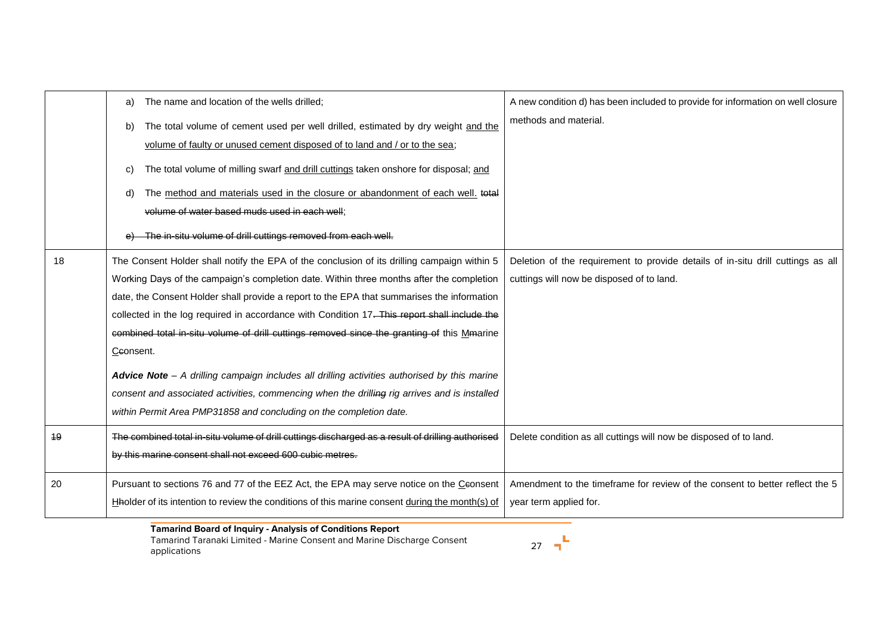|    | The name and location of the wells drilled;<br>a)                                                 | A new condition d) has been included to provide for information on well closure |
|----|---------------------------------------------------------------------------------------------------|---------------------------------------------------------------------------------|
|    | The total volume of cement used per well drilled, estimated by dry weight and the<br>b)           | methods and material.                                                           |
|    | volume of faulty or unused cement disposed of to land and / or to the sea;                        |                                                                                 |
|    | The total volume of milling swarf and drill cuttings taken onshore for disposal; and<br>C)        |                                                                                 |
|    | The method and materials used in the closure or abandonment of each well. total<br>d)             |                                                                                 |
|    | volume of water based muds used in each well;                                                     |                                                                                 |
|    | The in-situ volume of drill cuttings removed from each well.                                      |                                                                                 |
| 18 | The Consent Holder shall notify the EPA of the conclusion of its drilling campaign within 5       | Deletion of the requirement to provide details of in-situ drill cuttings as all |
|    | Working Days of the campaign's completion date. Within three months after the completion          | cuttings will now be disposed of to land.                                       |
|    | date, the Consent Holder shall provide a report to the EPA that summarises the information        |                                                                                 |
|    | collected in the log required in accordance with Condition 17. This report shall include the      |                                                                                 |
|    | combined total in situ volume of drill cuttings removed since the granting of this Mmarine        |                                                                                 |
|    | Ceonsent.                                                                                         |                                                                                 |
|    | Advice Note - A drilling campaign includes all drilling activities authorised by this marine      |                                                                                 |
|    | consent and associated activities, commencing when the drilling rig arrives and is installed      |                                                                                 |
|    | within Permit Area PMP31858 and concluding on the completion date.                                |                                                                                 |
| 19 | The combined total in-situ volume of drill cuttings discharged as a result of drilling authorised | Delete condition as all cuttings will now be disposed of to land.               |
|    | by this marine consent shall not exceed 600 cubic metres.                                         |                                                                                 |
| 20 | Pursuant to sections 76 and 77 of the EEZ Act, the EPA may serve notice on the Ceonsent           | Amendment to the timeframe for review of the consent to better reflect the 5    |
|    | Hablder of its intention to review the conditions of this marine consent during the month(s) of   | year term applied for.                                                          |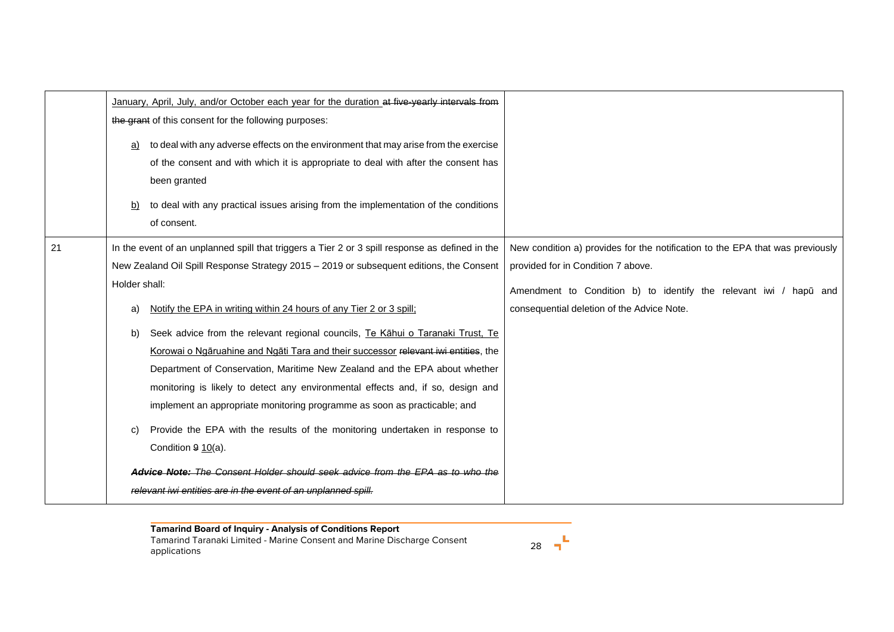|    | January, April, July, and/or October each year for the duration at five-yearly intervals from<br>the grant of this consent for the following purposes:<br>to deal with any adverse effects on the environment that may arise from the exercise<br>a)<br>of the consent and with which it is appropriate to deal with after the consent has<br>been granted<br>to deal with any practical issues arising from the implementation of the conditions<br>b)<br>of consent.                                                                                                                                                                                                                                                                                                                                                                                                                                                                                                          |                                                                                                                                                                                                                                        |
|----|---------------------------------------------------------------------------------------------------------------------------------------------------------------------------------------------------------------------------------------------------------------------------------------------------------------------------------------------------------------------------------------------------------------------------------------------------------------------------------------------------------------------------------------------------------------------------------------------------------------------------------------------------------------------------------------------------------------------------------------------------------------------------------------------------------------------------------------------------------------------------------------------------------------------------------------------------------------------------------|----------------------------------------------------------------------------------------------------------------------------------------------------------------------------------------------------------------------------------------|
| 21 | In the event of an unplanned spill that triggers a Tier 2 or 3 spill response as defined in the<br>New Zealand Oil Spill Response Strategy 2015 - 2019 or subsequent editions, the Consent<br>Holder shall:<br>Notify the EPA in writing within 24 hours of any Tier 2 or 3 spill;<br>a)<br>Seek advice from the relevant regional councils, Te Kāhui o Taranaki Trust, Te<br>b)<br>Korowai o Ngāruahine and Ngāti Tara and their successor relevant iwi entities, the<br>Department of Conservation, Maritime New Zealand and the EPA about whether<br>monitoring is likely to detect any environmental effects and, if so, design and<br>implement an appropriate monitoring programme as soon as practicable; and<br>Provide the EPA with the results of the monitoring undertaken in response to<br>Condition $9 10(a)$ .<br>Advice Note: The Consent Holder should seek advice from the EPA as to who the<br>relevant iwi entities are in the event of an unplanned spill. | New condition a) provides for the notification to the EPA that was previously<br>provided for in Condition 7 above.<br>Amendment to Condition b) to identify the relevant iwi / hapū and<br>consequential deletion of the Advice Note. |

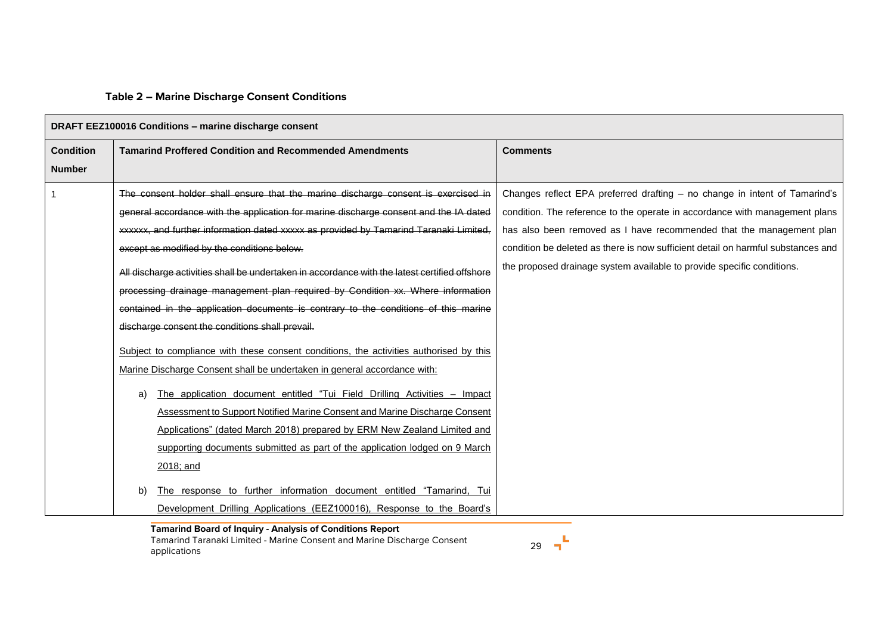# **Table 2 – Marine Discharge Consent Conditions**

|                  | DRAFT EEZ100016 Conditions - marine discharge consent                                         |                                                                                  |
|------------------|-----------------------------------------------------------------------------------------------|----------------------------------------------------------------------------------|
| <b>Condition</b> | <b>Tamarind Proffered Condition and Recommended Amendments</b>                                | <b>Comments</b>                                                                  |
| <b>Number</b>    |                                                                                               |                                                                                  |
|                  | The consent holder shall ensure that the marine discharge consent is exercised in             | Changes reflect EPA preferred drafting - no change in intent of Tamarind's       |
|                  | general accordance with the application for marine discharge consent and the IA dated         | condition. The reference to the operate in accordance with management plans      |
|                  | xxxxxx, and further information dated xxxxx as provided by Tamarind Taranaki Limited,         | has also been removed as I have recommended that the management plan             |
|                  | except as modified by the conditions below.                                                   | condition be deleted as there is now sufficient detail on harmful substances and |
|                  | All discharge activities shall be undertaken in accordance with the latest certified offshore | the proposed drainage system available to provide specific conditions.           |
|                  | processing drainage management plan required by Condition xx. Where information               |                                                                                  |
|                  | contained in the application documents is contrary to the conditions of this marine           |                                                                                  |
|                  | discharge consent the conditions shall prevail.                                               |                                                                                  |
|                  | Subject to compliance with these consent conditions, the activities authorised by this        |                                                                                  |
|                  | Marine Discharge Consent shall be undertaken in general accordance with:                      |                                                                                  |
|                  | The application document entitled "Tui Field Drilling Activities - Impact<br>a)               |                                                                                  |
|                  | <b>Assessment to Support Notified Marine Consent and Marine Discharge Consent</b>             |                                                                                  |
|                  | Applications" (dated March 2018) prepared by ERM New Zealand Limited and                      |                                                                                  |
|                  | supporting documents submitted as part of the application lodged on 9 March                   |                                                                                  |
|                  | 2018; and                                                                                     |                                                                                  |
|                  | The response to further information document entitled "Tamarind, Tui<br>b)                    |                                                                                  |
|                  | Development Drilling Applications (EEZ100016), Response to the Board's                        |                                                                                  |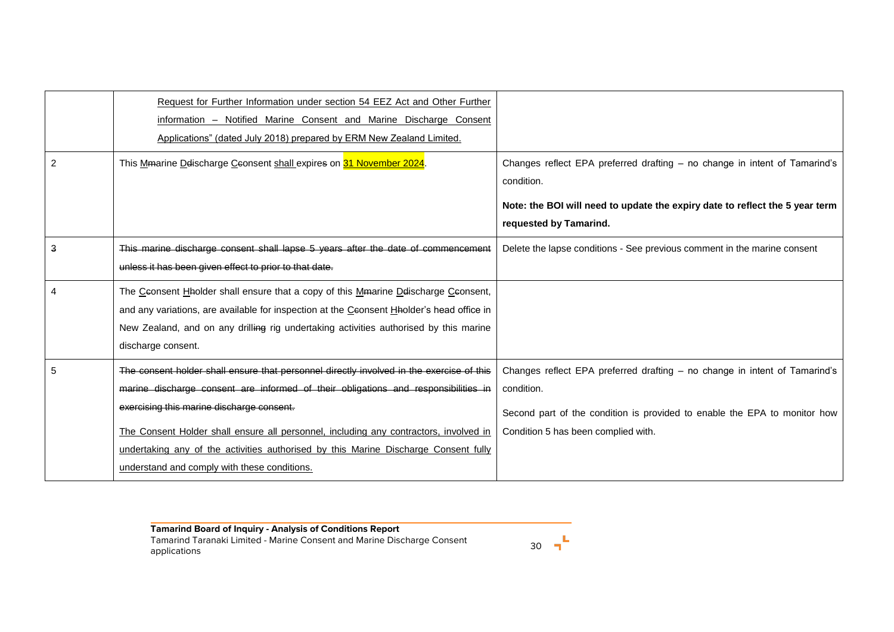|   | Request for Further Information under section 54 EEZ Act and Other Further<br>information - Notified Marine Consent and Marine Discharge Consent<br>Applications" (dated July 2018) prepared by ERM New Zealand Limited.                                                                                                                                                                                                                                    |                                                                                                                                                                                                              |
|---|-------------------------------------------------------------------------------------------------------------------------------------------------------------------------------------------------------------------------------------------------------------------------------------------------------------------------------------------------------------------------------------------------------------------------------------------------------------|--------------------------------------------------------------------------------------------------------------------------------------------------------------------------------------------------------------|
| 2 | This Mmarine Delischarge Ceonsent shall expires on 31 November 2024.                                                                                                                                                                                                                                                                                                                                                                                        | Changes reflect EPA preferred drafting - no change in intent of Tamarind's<br>condition.<br>Note: the BOI will need to update the expiry date to reflect the 5 year term<br>requested by Tamarind.           |
| 3 | This marine discharge consent shall lapse 5 years after the date of commencement<br>unless it has been given effect to prior to that date.                                                                                                                                                                                                                                                                                                                  | Delete the lapse conditions - See previous comment in the marine consent                                                                                                                                     |
|   | The Ceonsent Hholder shall ensure that a copy of this Mmarine Delischarge Ceonsent,<br>and any variations, are available for inspection at the Ceonsent Hholder's head office in<br>New Zealand, and on any drilling rig undertaking activities authorised by this marine<br>discharge consent.                                                                                                                                                             |                                                                                                                                                                                                              |
|   | The consent holder shall ensure that personnel directly involved in the exercise of this<br>marine discharge consent are informed of their obligations and responsibilities in<br>exercising this marine discharge consent.<br>The Consent Holder shall ensure all personnel, including any contractors, involved in<br>undertaking any of the activities authorised by this Marine Discharge Consent fully<br>understand and comply with these conditions. | Changes reflect EPA preferred drafting - no change in intent of Tamarind's<br>condition.<br>Second part of the condition is provided to enable the EPA to monitor how<br>Condition 5 has been complied with. |

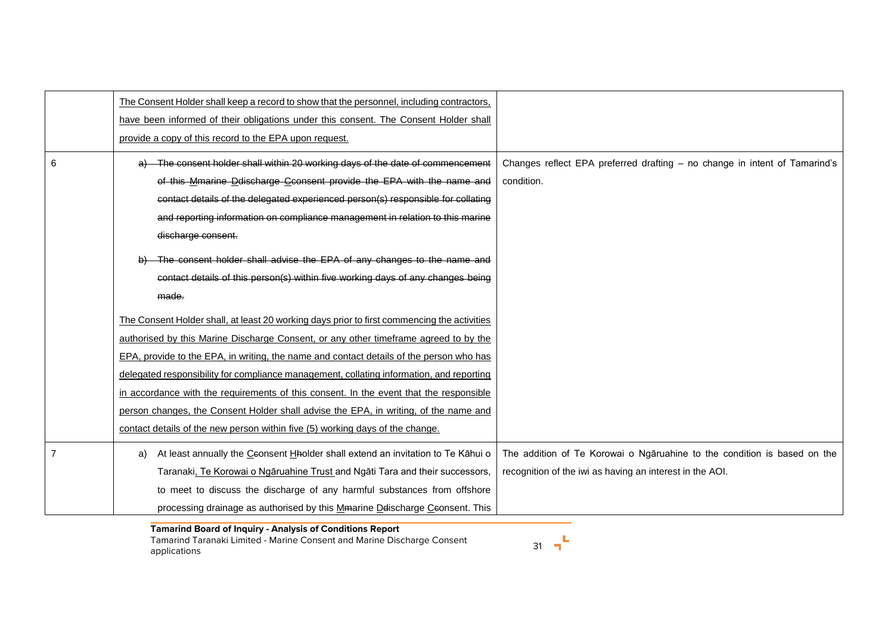|   | The Consent Holder shall keep a record to show that the personnel, including contractors,                                                                                                                                                                                                                                                                                                                                                                                                                                                                    |                                                                                                                                      |
|---|--------------------------------------------------------------------------------------------------------------------------------------------------------------------------------------------------------------------------------------------------------------------------------------------------------------------------------------------------------------------------------------------------------------------------------------------------------------------------------------------------------------------------------------------------------------|--------------------------------------------------------------------------------------------------------------------------------------|
|   | have been informed of their obligations under this consent. The Consent Holder shall<br>provide a copy of this record to the EPA upon request.                                                                                                                                                                                                                                                                                                                                                                                                               |                                                                                                                                      |
| 6 | The consent holder shall within 20 working days of the date of commencement<br>of this Mmarine Ddischarge Cconsent provide the EPA with the name and                                                                                                                                                                                                                                                                                                                                                                                                         | Changes reflect EPA preferred drafting - no change in intent of Tamarind's<br>condition.                                             |
|   | contact details of the delegated experienced person(s) responsible for collating<br>and reporting information on compliance management in relation to this marine<br>discharge consent.                                                                                                                                                                                                                                                                                                                                                                      |                                                                                                                                      |
|   | The consent holder shall advise the EPA of any changes to the name and<br>contact details of this person(s) within five working days of any changes being                                                                                                                                                                                                                                                                                                                                                                                                    |                                                                                                                                      |
|   | made.                                                                                                                                                                                                                                                                                                                                                                                                                                                                                                                                                        |                                                                                                                                      |
|   | The Consent Holder shall, at least 20 working days prior to first commencing the activities<br>authorised by this Marine Discharge Consent, or any other timeframe agreed to by the<br>EPA, provide to the EPA, in writing, the name and contact details of the person who has<br>delegated responsibility for compliance management, collating information, and reporting<br>in accordance with the requirements of this consent. In the event that the responsible<br>person changes, the Consent Holder shall advise the EPA, in writing, of the name and |                                                                                                                                      |
|   | contact details of the new person within five (5) working days of the change.                                                                                                                                                                                                                                                                                                                                                                                                                                                                                |                                                                                                                                      |
|   | At least annually the Ceonsent Hholder shall extend an invitation to Te Kāhui o<br>a)<br>Taranaki, Te Korowai o Ngāruahine Trust and Ngāti Tara and their successors,<br>to meet to discuss the discharge of any harmful substances from offshore                                                                                                                                                                                                                                                                                                            | The addition of Te Korowai o Ngāruahine to the condition is based on the<br>recognition of the iwi as having an interest in the AOI. |
|   | processing drainage as authorised by this Mmarine Delischarge Ceonsent. This                                                                                                                                                                                                                                                                                                                                                                                                                                                                                 |                                                                                                                                      |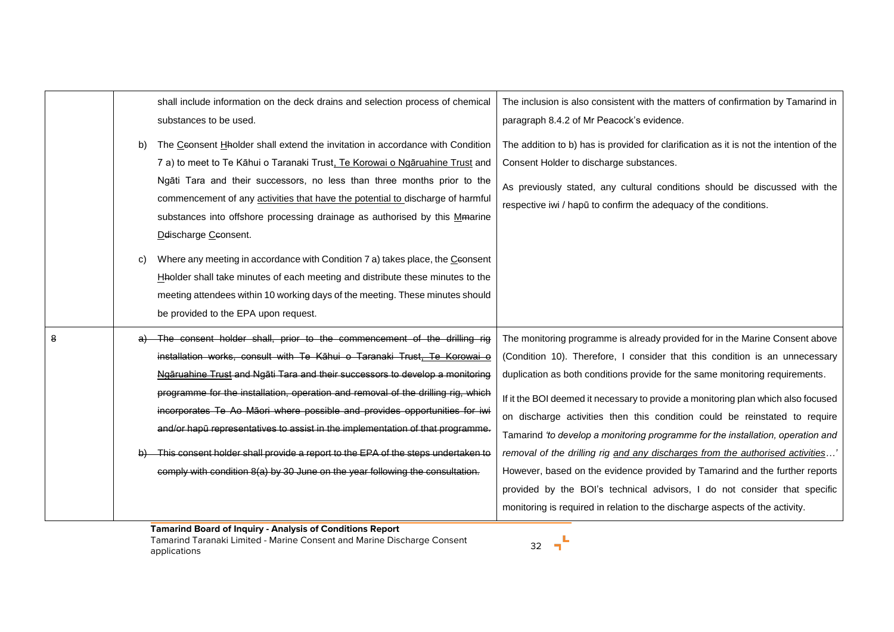| b) | shall include information on the deck drains and selection process of chemical<br>substances to be used.<br>The Ceonsent Hholder shall extend the invitation in accordance with Condition<br>7 a) to meet to Te Kāhui o Taranaki Trust, Te Korowai o Ngāruahine Trust and<br>Ngāti Tara and their successors, no less than three months prior to the<br>commencement of any activities that have the potential to discharge of harmful<br>substances into offshore processing drainage as authorised by this Memarine                                                                                                                                        | The inclusion is also consistent with the matters of confirmation by Tamarind in<br>paragraph 8.4.2 of Mr Peacock's evidence.<br>The addition to b) has is provided for clarification as it is not the intention of the<br>Consent Holder to discharge substances.<br>As previously stated, any cultural conditions should be discussed with the<br>respective iwi / hapū to confirm the adequacy of the conditions.                                                                                                                                                                                                                                                                                                                                                                                                           |
|----|--------------------------------------------------------------------------------------------------------------------------------------------------------------------------------------------------------------------------------------------------------------------------------------------------------------------------------------------------------------------------------------------------------------------------------------------------------------------------------------------------------------------------------------------------------------------------------------------------------------------------------------------------------------|--------------------------------------------------------------------------------------------------------------------------------------------------------------------------------------------------------------------------------------------------------------------------------------------------------------------------------------------------------------------------------------------------------------------------------------------------------------------------------------------------------------------------------------------------------------------------------------------------------------------------------------------------------------------------------------------------------------------------------------------------------------------------------------------------------------------------------|
| C) | Delischarge Ceonsent.<br>Where any meeting in accordance with Condition 7 a) takes place, the Ceonsent<br>Hholder shall take minutes of each meeting and distribute these minutes to the<br>meeting attendees within 10 working days of the meeting. These minutes should<br>be provided to the EPA upon request.                                                                                                                                                                                                                                                                                                                                            |                                                                                                                                                                                                                                                                                                                                                                                                                                                                                                                                                                                                                                                                                                                                                                                                                                |
|    | The consent holder shall, prior to the commencement of the drilling rig<br>installation works, consult with Te Kāhui o Taranaki Trust, Te Korowai o<br>Ngāruahine Trust and Ngāti Tara and their successors to develop a monitoring<br>programme for the installation, operation and removal of the drilling rig, which<br>incorporates Te Ao Māori where possible and provides opportunities for iwi<br>and/or hapū representatives to assist in the implementation of that programme.<br>This consent holder shall provide a report to the EPA of the steps undertaken to<br>comply with condition 8(a) by 30 June on the year following the consultation. | The monitoring programme is already provided for in the Marine Consent above<br>(Condition 10). Therefore, I consider that this condition is an unnecessary<br>duplication as both conditions provide for the same monitoring requirements.<br>If it the BOI deemed it necessary to provide a monitoring plan which also focused<br>on discharge activities then this condition could be reinstated to require<br>Tamarind 'to develop a monitoring programme for the installation, operation and<br>removal of the drilling rig and any discharges from the authorised activities<br>However, based on the evidence provided by Tamarind and the further reports<br>provided by the BOI's technical advisors, I do not consider that specific<br>monitoring is required in relation to the discharge aspects of the activity. |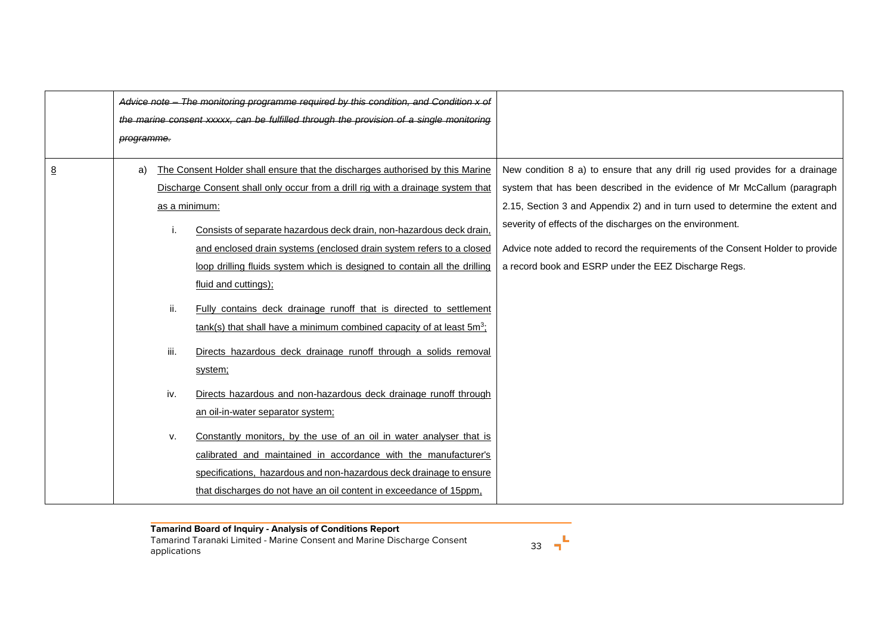|          | Advice note —                     |               | The monitoring programme required by this condition, and Condition x of                 |                                                                               |
|----------|-----------------------------------|---------------|-----------------------------------------------------------------------------------------|-------------------------------------------------------------------------------|
|          |                                   |               | the marine consent xxxxx, can be fulfilled through the provision of a single monitoring |                                                                               |
|          | programme.                        |               |                                                                                         |                                                                               |
| <u>8</u> | a)                                |               | The Consent Holder shall ensure that the discharges authorised by this Marine           | New condition 8 a) to ensure that any drill rig used provides for a drainage  |
|          |                                   |               | Discharge Consent shall only occur from a drill rig with a drainage system that         | system that has been described in the evidence of Mr McCallum (paragraph      |
|          |                                   | as a minimum: |                                                                                         | 2.15, Section 3 and Appendix 2) and in turn used to determine the extent and  |
|          |                                   |               | Consists of separate hazardous deck drain, non-hazardous deck drain,                    | severity of effects of the discharges on the environment.                     |
|          |                                   |               | and enclosed drain systems (enclosed drain system refers to a closed                    | Advice note added to record the requirements of the Consent Holder to provide |
|          |                                   |               | loop drilling fluids system which is designed to contain all the drilling               | a record book and ESRP under the EEZ Discharge Regs.                          |
|          |                                   |               | fluid and cuttings);                                                                    |                                                                               |
|          |                                   | ii.           | Fully contains deck drainage runoff that is directed to settlement                      |                                                                               |
|          |                                   |               | tank(s) that shall have a minimum combined capacity of at least 5m <sup>3</sup> ;       |                                                                               |
|          |                                   | iii.          | Directs hazardous deck drainage runoff through a solids removal                         |                                                                               |
|          |                                   |               | system;                                                                                 |                                                                               |
|          |                                   | iv.           | Directs hazardous and non-hazardous deck drainage runoff through                        |                                                                               |
|          | an oil-in-water separator system; |               |                                                                                         |                                                                               |
|          |                                   | v.            | Constantly monitors, by the use of an oil in water analyser that is                     |                                                                               |
|          |                                   |               | calibrated and maintained in accordance with the manufacturer's                         |                                                                               |
|          |                                   |               | specifications, hazardous and non-hazardous deck drainage to ensure                     |                                                                               |
|          |                                   |               | that discharges do not have an oil content in exceedance of 15ppm,                      |                                                                               |

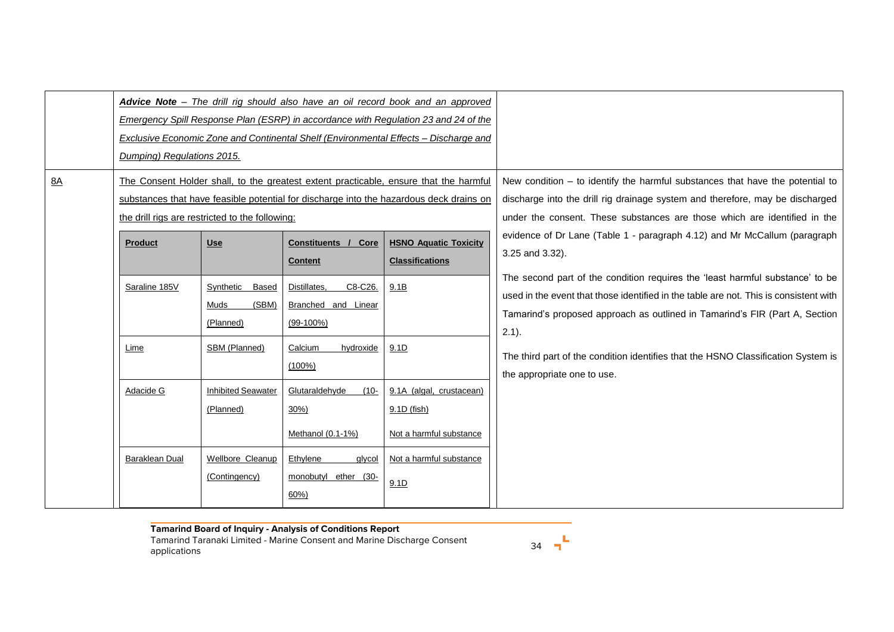| 8A | Dumping) Regulations 2015.      | the drill rigs are restricted to the following: |                                                                          | Advice Note - The drill rig should also have an oil record book and an approved<br>Emergency Spill Response Plan (ESRP) in accordance with Regulation 23 and 24 of the<br>Exclusive Economic Zone and Continental Shelf (Environmental Effects - Discharge and<br>The Consent Holder shall, to the greatest extent practicable, ensure that the harmful<br>substances that have feasible potential for discharge into the hazardous deck drains on | New condition $-$ to identify the harmful substances that have the potential to<br>discharge into the drill rig drainage system and therefore, may be discharged<br>under the consent. These substances are those which are identified in the                                                        |
|----|---------------------------------|-------------------------------------------------|--------------------------------------------------------------------------|----------------------------------------------------------------------------------------------------------------------------------------------------------------------------------------------------------------------------------------------------------------------------------------------------------------------------------------------------------------------------------------------------------------------------------------------------|------------------------------------------------------------------------------------------------------------------------------------------------------------------------------------------------------------------------------------------------------------------------------------------------------|
|    | <b>Product</b><br>Saraline 185V | <b>Use</b><br>Based<br>Synthetic                | Core<br>Constituents /<br><b>Content</b><br>C8-C26.<br>Distillates,      | <b>HSNO Aquatic Toxicity</b><br><b>Classifications</b><br>9.1B                                                                                                                                                                                                                                                                                                                                                                                     | evidence of Dr Lane (Table 1 - paragraph 4.12) and Mr McCallum (paragraph<br>3.25 and 3.32).<br>The second part of the condition requires the 'least harmful substance' to be                                                                                                                        |
|    | Lime                            | (SBM)<br>Muds<br>(Planned)<br>SBM (Planned)     | Branched and Linear<br>$(99-100\%)$<br>Calcium<br>hydroxide<br>$(100\%)$ | 9.1D                                                                                                                                                                                                                                                                                                                                                                                                                                               | used in the event that those identified in the table are not. This is consistent with<br>Tamarind's proposed approach as outlined in Tamarind's FIR (Part A, Section<br>$2.1$ ).<br>The third part of the condition identifies that the HSNO Classification System is<br>the appropriate one to use. |
|    | Adacide G                       | <b>Inhibited Seawater</b><br>(Planned)          | Glutaraldehyde<br>$(10 -$<br>$30\%)$<br>Methanol $(0.1-1%)$              | 9.1A (algal, crustacean)<br>9.1D (fish)<br>Not a harmful substance                                                                                                                                                                                                                                                                                                                                                                                 |                                                                                                                                                                                                                                                                                                      |
|    | Baraklean Dual                  | Wellbore Cleanup<br>(Contingency)               | Ethylene<br>glycol<br>monobutyl ether (30-<br>60%                        | Not a harmful substance<br>9.1D                                                                                                                                                                                                                                                                                                                                                                                                                    |                                                                                                                                                                                                                                                                                                      |

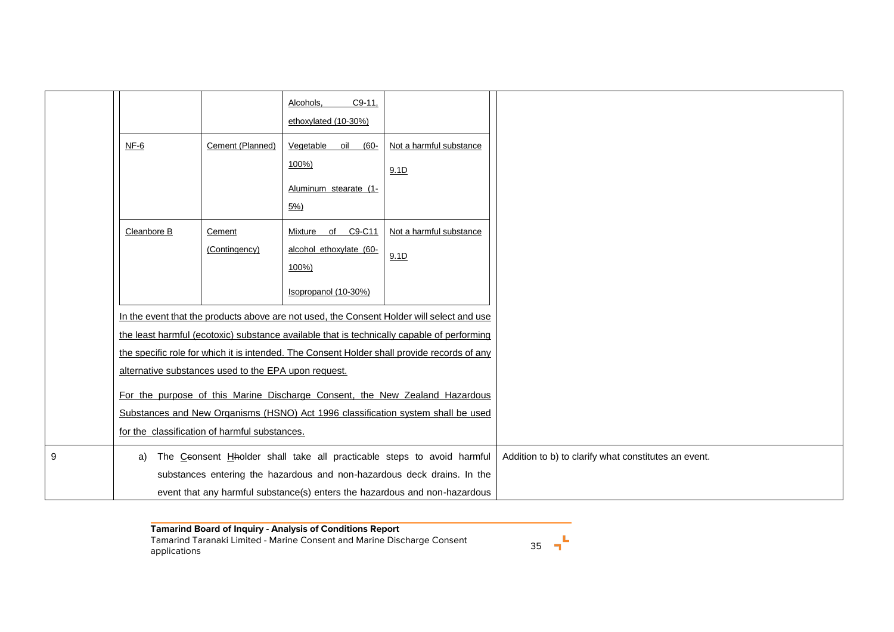|   |                                                                                            |                         | $C9-11.$<br>Alcohols,<br>ethoxylated (10-30%)                 |                                                                                             |                                                      |
|---|--------------------------------------------------------------------------------------------|-------------------------|---------------------------------------------------------------|---------------------------------------------------------------------------------------------|------------------------------------------------------|
|   | NF-6                                                                                       | Cement (Planned)        | Vegetable<br>oil<br>$(60 -$<br>100%)<br>Aluminum stearate (1- | Not a harmful substance<br>9.1D                                                             |                                                      |
|   |                                                                                            |                         | 5%)                                                           |                                                                                             |                                                      |
|   | Cleanbore B                                                                                | Cement<br>(Contingency) | C9-C11<br>Mixture of<br>alcohol ethoxylate (60-<br>100%)      | Not a harmful substance<br>9.1D                                                             |                                                      |
|   |                                                                                            |                         | Isopropanol (10-30%)                                          |                                                                                             |                                                      |
|   |                                                                                            |                         |                                                               | In the event that the products above are not used, the Consent Holder will select and use   |                                                      |
|   | the least harmful (ecotoxic) substance available that is technically capable of performing |                         |                                                               |                                                                                             |                                                      |
|   |                                                                                            |                         |                                                               | the specific role for which it is intended. The Consent Holder shall provide records of any |                                                      |
|   | alternative substances used to the EPA upon request.                                       |                         |                                                               |                                                                                             |                                                      |
|   | For the purpose of this Marine Discharge Consent, the New Zealand Hazardous                |                         |                                                               |                                                                                             |                                                      |
|   | Substances and New Organisms (HSNO) Act 1996 classification system shall be used           |                         |                                                               |                                                                                             |                                                      |
|   | for the classification of harmful substances.                                              |                         |                                                               |                                                                                             |                                                      |
| 9 | The Ceonsent Hholder shall take all practicable steps to avoid harmful<br>a)               |                         |                                                               |                                                                                             | Addition to b) to clarify what constitutes an event. |
|   | substances entering the hazardous and non-hazardous deck drains. In the                    |                         |                                                               |                                                                                             |                                                      |
|   | event that any harmful substance(s) enters the hazardous and non-hazardous                 |                         |                                                               |                                                                                             |                                                      |

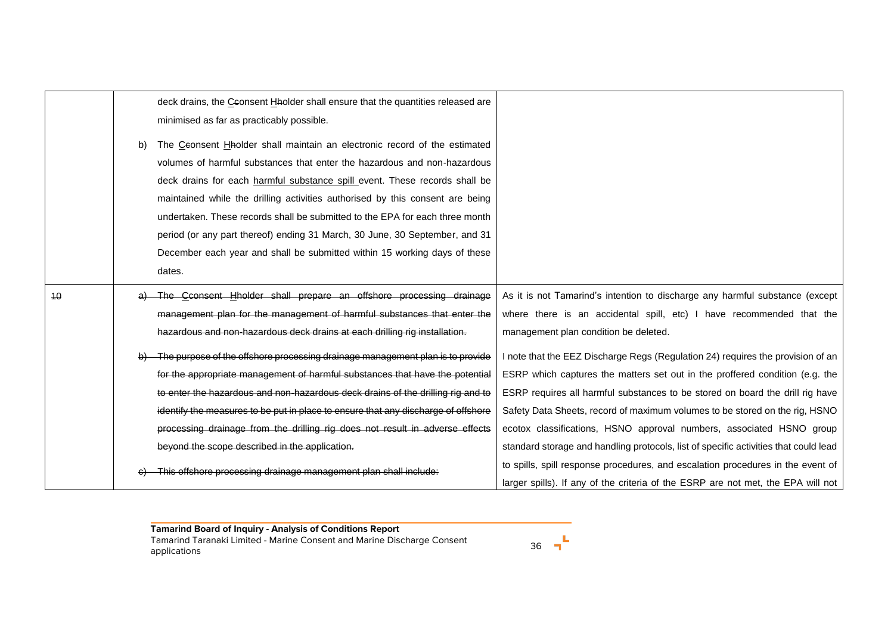|    |                                                                                                                                                       | deck drains, the Ceonsent Hholder shall ensure that the quantities released are   |                                                                                      |
|----|-------------------------------------------------------------------------------------------------------------------------------------------------------|-----------------------------------------------------------------------------------|--------------------------------------------------------------------------------------|
|    |                                                                                                                                                       | minimised as far as practicably possible.                                         |                                                                                      |
|    |                                                                                                                                                       |                                                                                   |                                                                                      |
|    | b)                                                                                                                                                    | The Ceonsent Hholder shall maintain an electronic record of the estimated         |                                                                                      |
|    |                                                                                                                                                       | volumes of harmful substances that enter the hazardous and non-hazardous          |                                                                                      |
|    |                                                                                                                                                       | deck drains for each harmful substance spill event. These records shall be        |                                                                                      |
|    |                                                                                                                                                       | maintained while the drilling activities authorised by this consent are being     |                                                                                      |
|    |                                                                                                                                                       | undertaken. These records shall be submitted to the EPA for each three month      |                                                                                      |
|    |                                                                                                                                                       | period (or any part thereof) ending 31 March, 30 June, 30 September, and 31       |                                                                                      |
|    |                                                                                                                                                       | December each year and shall be submitted within 15 working days of these         |                                                                                      |
|    |                                                                                                                                                       | dates.                                                                            |                                                                                      |
| 40 |                                                                                                                                                       | The Cconsent Hholder shall prepare an offshore processing drainage                | As it is not Tamarind's intention to discharge any harmful substance (except         |
|    | management plan for the management of harmful substances that enter the<br>hazardous and non-hazardous deck drains at each drilling rig installation. |                                                                                   | where there is an accidental spill, etc) I have recommended that the                 |
|    |                                                                                                                                                       |                                                                                   | management plan condition be deleted.                                                |
|    |                                                                                                                                                       | The purpose of the offshore processing drainage management plan is to provide     | I note that the EEZ Discharge Regs (Regulation 24) requires the provision of an      |
|    |                                                                                                                                                       | for the appropriate management of harmful substances that have the potential      | ESRP which captures the matters set out in the proffered condition (e.g. the         |
|    |                                                                                                                                                       | to enter the hazardous and non-hazardous deck drains of the drilling rig and to   | ESRP requires all harmful substances to be stored on board the drill rig have        |
|    |                                                                                                                                                       | identify the measures to be put in place to ensure that any discharge of offshore | Safety Data Sheets, record of maximum volumes to be stored on the rig, HSNO          |
|    |                                                                                                                                                       | processing drainage from the drilling rig does not result in adverse effects      | ecotox classifications, HSNO approval numbers, associated HSNO group                 |
|    |                                                                                                                                                       | beyond the scope described in the application.                                    | standard storage and handling protocols, list of specific activities that could lead |
|    |                                                                                                                                                       |                                                                                   | to spills, spill response procedures, and escalation procedures in the event of      |
|    | This offshore processing drainage management plan shall include:                                                                                      |                                                                                   |                                                                                      |
|    |                                                                                                                                                       |                                                                                   | larger spills). If any of the criteria of the ESRP are not met, the EPA will not     |

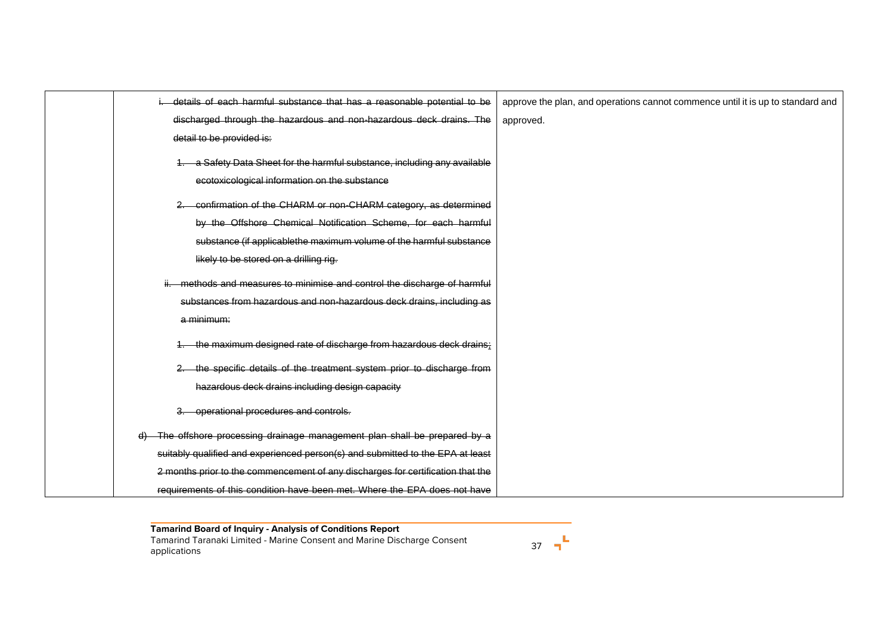| details of each harmful substance that has a reasonable potential to be                                                 | approve the plan, and operations cannot commence until it is up to standard and |
|-------------------------------------------------------------------------------------------------------------------------|---------------------------------------------------------------------------------|
| discharged through the hazardous and non-hazardous deck drains. The                                                     | approved.                                                                       |
| detail to be provided is:                                                                                               |                                                                                 |
| a Safety Data Sheet for the harmful substance, including any available<br>ecotoxicological information on the substance |                                                                                 |
| confirmation of the CHARM or non-CHARM category, as determined                                                          |                                                                                 |
| by the Offshore Chemical Notification Scheme, for each harmful                                                          |                                                                                 |
| substance (if applicablethe maximum volume of the harmful substance                                                     |                                                                                 |
| likely to be stored on a drilling rig.                                                                                  |                                                                                 |
| methods and measures to minimise and control the discharge of harmful                                                   |                                                                                 |
| substances from hazardous and non-hazardous deck drains, including as                                                   |                                                                                 |
| a minimum:                                                                                                              |                                                                                 |
| the maximum designed rate of discharge from hazardous deck drains:                                                      |                                                                                 |
| the specific details of the treatment system prior to discharge from                                                    |                                                                                 |
| hazardous deck drains including design capacity                                                                         |                                                                                 |
| operational procedures and controls.<br>З.                                                                              |                                                                                 |
| d) The offshore processing drainage management plan shall be prepared by a                                              |                                                                                 |
| suitably qualified and experienced person(s) and submitted to the EPA at least                                          |                                                                                 |
| 2 months prior to the commencement of any discharges for certification that the                                         |                                                                                 |
| requirements of this condition have been met. Where the EPA does not have                                               |                                                                                 |

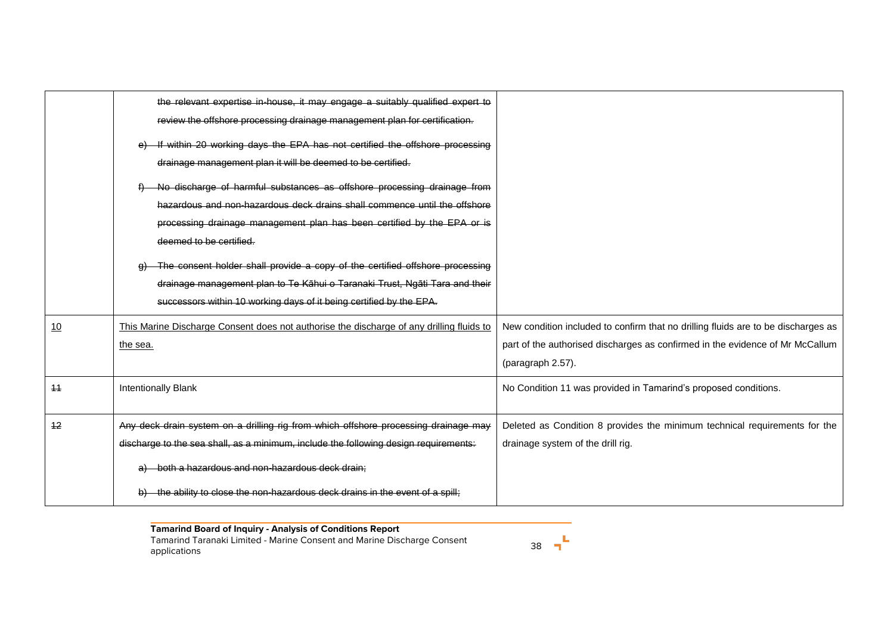|      | the relevant expertise in-house, it may engage a suitably qualified expert to<br>review the offshore processing drainage management plan for certification. |                                                                                   |
|------|-------------------------------------------------------------------------------------------------------------------------------------------------------------|-----------------------------------------------------------------------------------|
|      | If within 20 working days the EPA has not certified the offshore processing                                                                                 |                                                                                   |
|      | drainage management plan it will be deemed to be certified.                                                                                                 |                                                                                   |
|      | No discharge of harmful substances as offshore processing drainage from                                                                                     |                                                                                   |
|      | hazardous and non-hazardous deck drains shall commence until the offshore                                                                                   |                                                                                   |
|      | processing drainage management plan has been certified by the EPA or is                                                                                     |                                                                                   |
|      | deemed to be certified.                                                                                                                                     |                                                                                   |
|      | The consent holder shall provide a copy of the certified offshore processing                                                                                |                                                                                   |
|      | drainage management plan to Te Kāhui o Taranaki Trust, Ngāti Tara and their                                                                                 |                                                                                   |
|      | successors within 10 working days of it being certified by the EPA.                                                                                         |                                                                                   |
| 10   | This Marine Discharge Consent does not authorise the discharge of any drilling fluids to                                                                    | New condition included to confirm that no drilling fluids are to be discharges as |
|      | the sea.                                                                                                                                                    | part of the authorised discharges as confirmed in the evidence of Mr McCallum     |
|      |                                                                                                                                                             | (paragraph 2.57).                                                                 |
| $+4$ | <b>Intentionally Blank</b>                                                                                                                                  | No Condition 11 was provided in Tamarind's proposed conditions.                   |
|      |                                                                                                                                                             |                                                                                   |
| 12   | Any deck drain system on a drilling rig from which offshore processing drainage may                                                                         | Deleted as Condition 8 provides the minimum technical requirements for the        |
|      | discharge to the sea shall, as a minimum, include the following design requirements:                                                                        | drainage system of the drill rig.                                                 |
|      | a) both a hazardous and non-hazardous deck drain;                                                                                                           |                                                                                   |
|      | the ability to close the non-hazardous deck drains in the event of a spill;                                                                                 |                                                                                   |

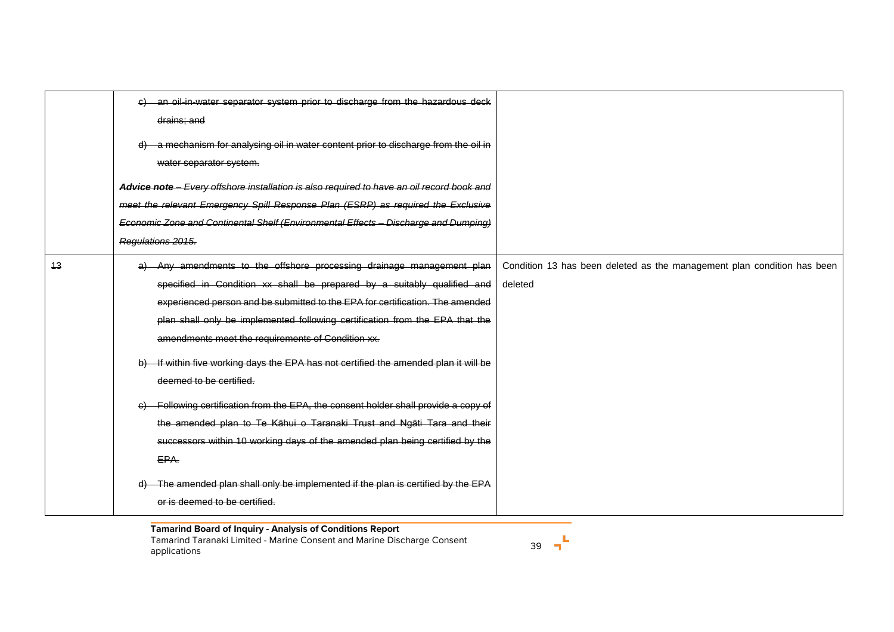|    | c) an oil-in-water separator system prior to discharge from the hazardous deck<br>drains; and<br>d) a mechanism for analysing oil in water content prior to discharge from the oil in<br>water separator system.<br>Advice note - Every offshore installation is also required to have an oil record book and<br>meet the relevant Emergency Spill Response Plan (ESRP) as required the Exclusive<br>Economic Zone and Continental Shelf (Environmental Effects - Discharge and Dumping)<br>Regulations 2015.                                                                                                                                                                                                                                                                                                                                                               |                                                                                    |
|----|-----------------------------------------------------------------------------------------------------------------------------------------------------------------------------------------------------------------------------------------------------------------------------------------------------------------------------------------------------------------------------------------------------------------------------------------------------------------------------------------------------------------------------------------------------------------------------------------------------------------------------------------------------------------------------------------------------------------------------------------------------------------------------------------------------------------------------------------------------------------------------|------------------------------------------------------------------------------------|
| 13 | a) Any amendments to the offshore processing drainage management plan<br>specified in Condition xx shall be prepared by a suitably qualified and<br>experienced person and be submitted to the EPA for certification. The amended<br>plan shall only be implemented following certification from the EPA that the<br>amendments meet the requirements of Condition xx.<br>b) If within five working days the EPA has not certified the amended plan it will be<br>deemed to be certified.<br>Following certification from the EPA, the consent holder shall provide a copy of<br>e)<br>the amended plan to Te Kāhui o Taranaki Trust and Ngāti Tara and their<br>successors within 10 working days of the amended plan being certified by the<br>EPA.<br>d) The amended plan shall only be implemented if the plan is certified by the EPA<br>or is deemed to be certified. | Condition 13 has been deleted as the management plan condition has been<br>deleted |

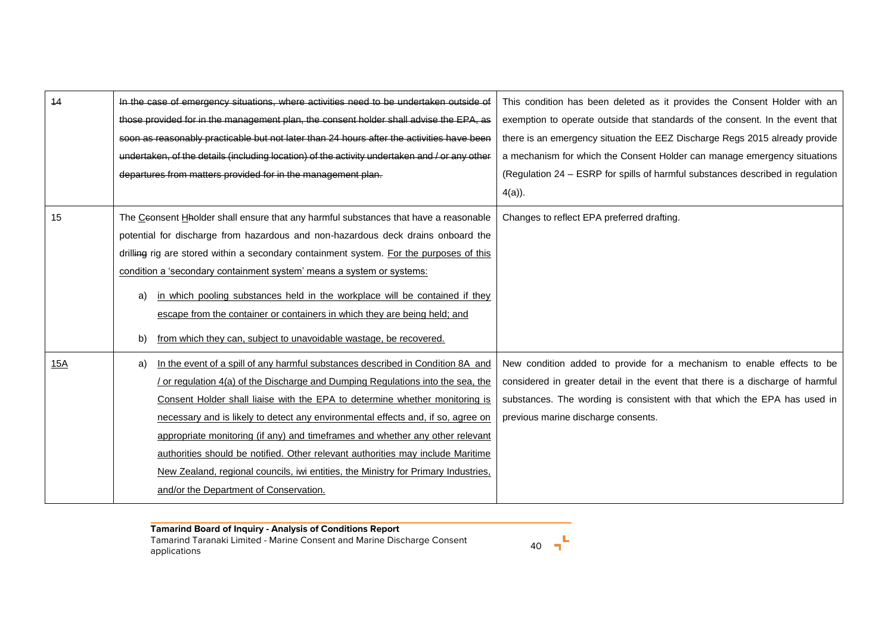| 44         | In the case of emergency situations, where activities need to be undertaken outside of        | This condition has been deleted as it provides the Consent Holder with an      |  |
|------------|-----------------------------------------------------------------------------------------------|--------------------------------------------------------------------------------|--|
|            | those provided for in the management plan, the consent holder shall advise the EPA, as        | exemption to operate outside that standards of the consent. In the event that  |  |
|            | soon as reasonably practicable but not later than 24 hours after the activities have been     | there is an emergency situation the EEZ Discharge Regs 2015 already provide    |  |
|            | undertaken, of the details (including location) of the activity undertaken and / or any other | a mechanism for which the Consent Holder can manage emergency situations       |  |
|            | departures from matters provided for in the management plan.                                  | (Regulation 24 - ESRP for spills of harmful substances described in regulation |  |
|            |                                                                                               | $4(a)$ ).                                                                      |  |
| 15         | The Ceonsent Hholder shall ensure that any harmful substances that have a reasonable          | Changes to reflect EPA preferred drafting.                                     |  |
|            | potential for discharge from hazardous and non-hazardous deck drains onboard the              |                                                                                |  |
|            | drilling rig are stored within a secondary containment system. For the purposes of this       |                                                                                |  |
|            | condition a 'secondary containment system' means a system or systems:                         |                                                                                |  |
|            | in which pooling substances held in the workplace will be contained if they<br>a)             |                                                                                |  |
|            | escape from the container or containers in which they are being held; and                     |                                                                                |  |
|            | from which they can, subject to unavoidable wastage, be recovered.<br>b)                      |                                                                                |  |
| <u>15A</u> | In the event of a spill of any harmful substances described in Condition 8A and<br>a)         | New condition added to provide for a mechanism to enable effects to be         |  |
|            | or regulation 4(a) of the Discharge and Dumping Regulations into the sea, the                 | considered in greater detail in the event that there is a discharge of harmful |  |
|            | Consent Holder shall liaise with the EPA to determine whether monitoring is                   | substances. The wording is consistent with that which the EPA has used in      |  |
|            | necessary and is likely to detect any environmental effects and, if so, agree on              | previous marine discharge consents.                                            |  |
|            | appropriate monitoring (if any) and timeframes and whether any other relevant                 |                                                                                |  |
|            | authorities should be notified. Other relevant authorities may include Maritime               |                                                                                |  |
|            | New Zealand, regional councils, iwi entities, the Ministry for Primary Industries,            |                                                                                |  |
|            | and/or the Department of Conservation.                                                        |                                                                                |  |

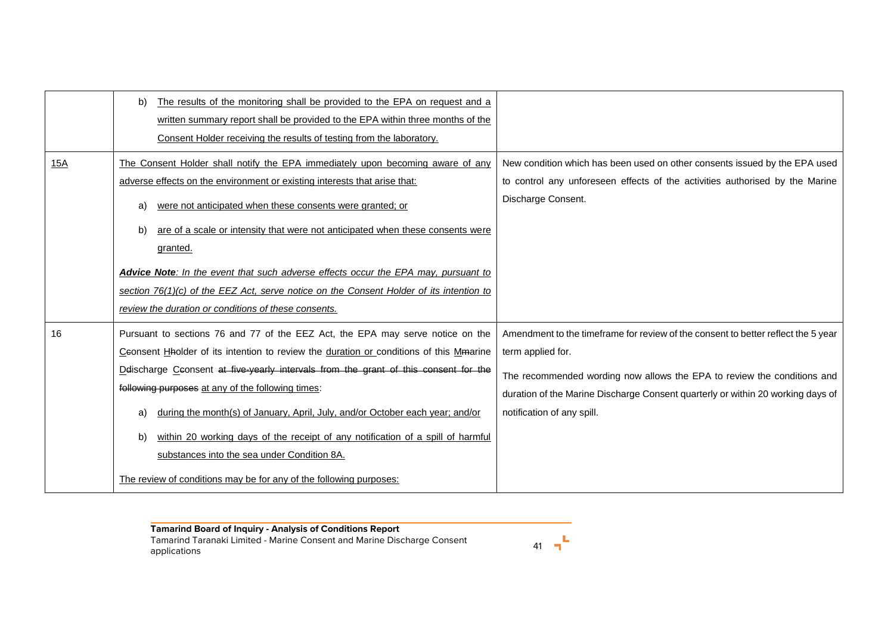|     | The results of the monitoring shall be provided to the EPA on request and a<br>b)<br>written summary report shall be provided to the EPA within three months of the<br>Consent Holder receiving the results of testing from the laboratory.                                                                                                                                                                                                                                                                                                                                                                                |                                                                                                                                                                                                                                                                                                    |
|-----|----------------------------------------------------------------------------------------------------------------------------------------------------------------------------------------------------------------------------------------------------------------------------------------------------------------------------------------------------------------------------------------------------------------------------------------------------------------------------------------------------------------------------------------------------------------------------------------------------------------------------|----------------------------------------------------------------------------------------------------------------------------------------------------------------------------------------------------------------------------------------------------------------------------------------------------|
| 15A | The Consent Holder shall notify the EPA immediately upon becoming aware of any<br>adverse effects on the environment or existing interests that arise that:<br>were not anticipated when these consents were granted; or<br>a)<br>are of a scale or intensity that were not anticipated when these consents were<br>b)<br>granted.<br>Advice Note: In the event that such adverse effects occur the EPA may, pursuant to<br>section $76(1)(c)$ of the EEZ Act, serve notice on the Consent Holder of its intention to<br>review the duration or conditions of these consents.                                              | New condition which has been used on other consents issued by the EPA used<br>to control any unforeseen effects of the activities authorised by the Marine<br>Discharge Consent.                                                                                                                   |
| 16  | Pursuant to sections 76 and 77 of the EEZ Act, the EPA may serve notice on the<br>Ceonsent Haolder of its intention to review the duration or conditions of this Mmarine<br>Delischarge Ceonsent at five-yearly intervals from the grant of this consent for the<br>following purposes at any of the following times:<br>during the month(s) of January, April, July, and/or October each year; and/or<br>a)<br>within 20 working days of the receipt of any notification of a spill of harmful<br>b)<br>substances into the sea under Condition 8A.<br>The review of conditions may be for any of the following purposes: | Amendment to the timeframe for review of the consent to better reflect the 5 year<br>term applied for.<br>The recommended wording now allows the EPA to review the conditions and<br>duration of the Marine Discharge Consent quarterly or within 20 working days of<br>notification of any spill. |

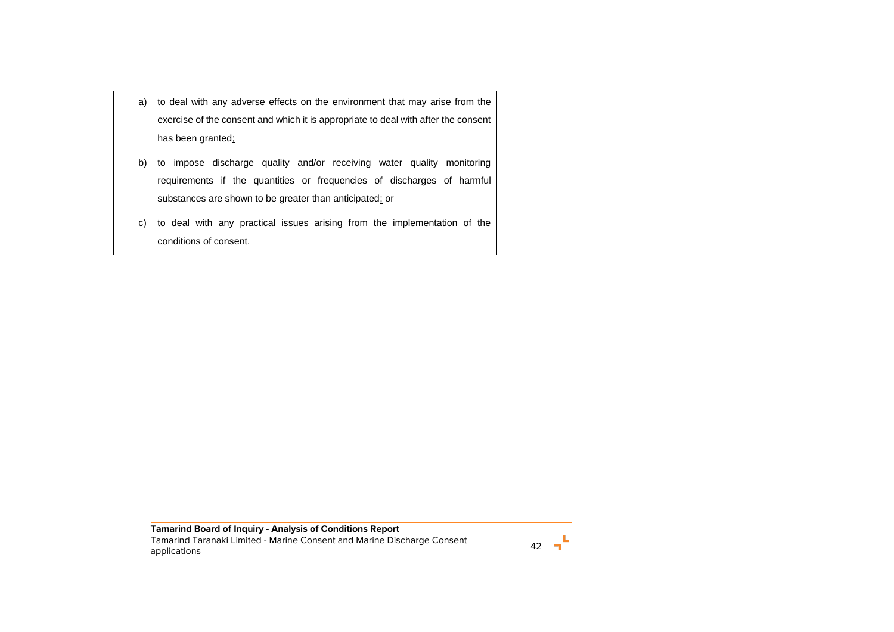|    | a) to deal with any adverse effects on the environment that may arise from the<br>exercise of the consent and which it is appropriate to deal with after the consent<br>has been granted;                  |
|----|------------------------------------------------------------------------------------------------------------------------------------------------------------------------------------------------------------|
| b) | to impose discharge quality and/or receiving water quality monitoring<br>requirements if the quantities or frequencies of discharges of harmful<br>substances are shown to be greater than anticipated; or |
| C) | to deal with any practical issues arising from the implementation of the<br>conditions of consent.                                                                                                         |

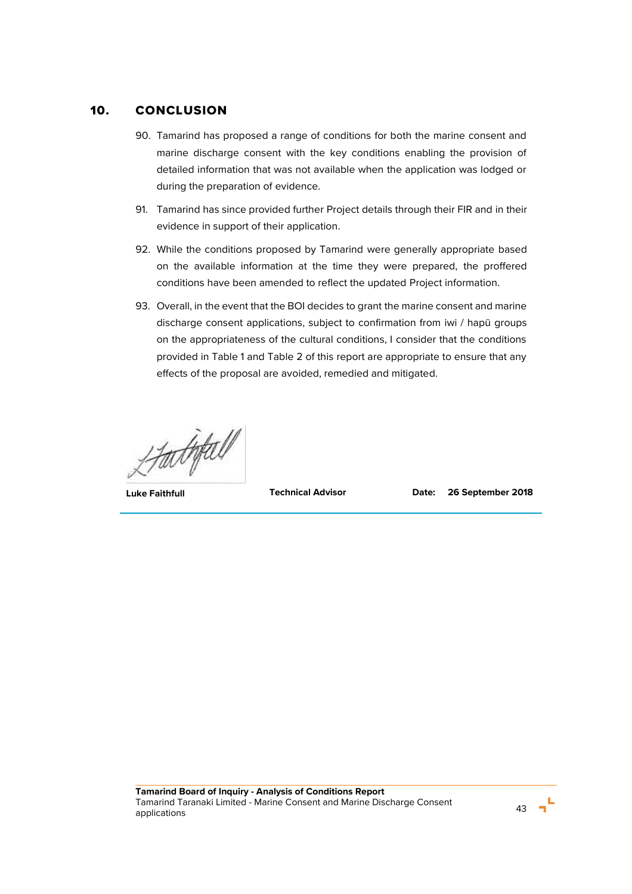# 10. CONCLUSION

- 90. Tamarind has proposed a range of conditions for both the marine consent and marine discharge consent with the key conditions enabling the provision of detailed information that was not available when the application was lodged or during the preparation of evidence.
- 91. Tamarind has since provided further Project details through their FIR and in their evidence in support of their application.
- 92. While the conditions proposed by Tamarind were generally appropriate based on the available information at the time they were prepared, the proffered conditions have been amended to reflect the updated Project information.
- 93. Overall, in the event that the BOI decides to grant the marine consent and marine discharge consent applications, subject to confirmation from iwi / hapū groups on the appropriateness of the cultural conditions, I consider that the conditions provided in Table 1 and Table 2 of this report are appropriate to ensure that any effects of the proposal are avoided, remedied and mitigated.

LAUTEU<br>Luke Faithfull Technical Advisor Date: 26 September 2018

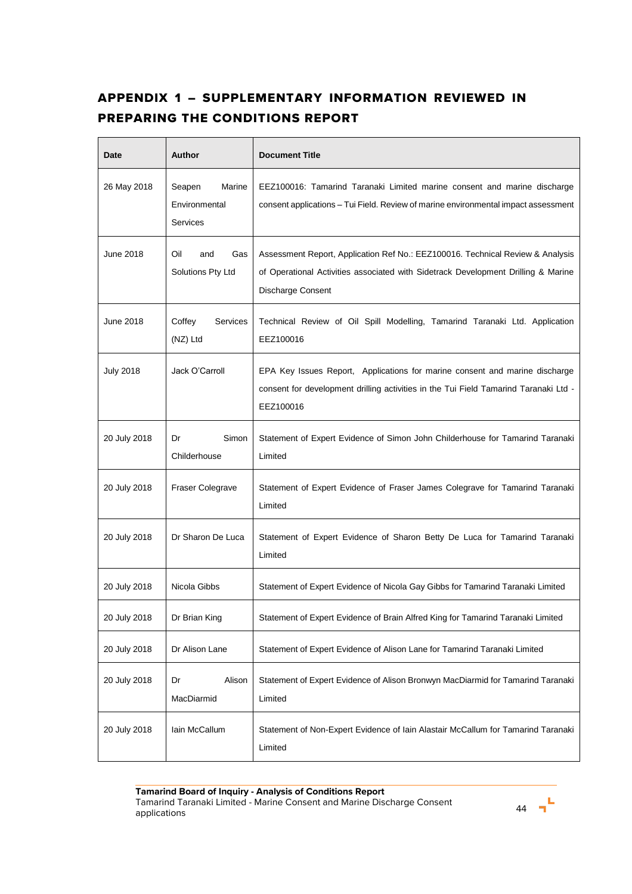# APPENDIX 1 – SUPPLEMENTARY INFORMATION REVIEWED IN PREPARING THE CONDITIONS REPORT

| Date             | <b>Author</b>                                 | <b>Document Title</b>                                                                                                                                                                    |
|------------------|-----------------------------------------------|------------------------------------------------------------------------------------------------------------------------------------------------------------------------------------------|
| 26 May 2018      | Marine<br>Seapen<br>Environmental<br>Services | EEZ100016: Tamarind Taranaki Limited marine consent and marine discharge<br>consent applications – Tui Field. Review of marine environmental impact assessment                           |
| June 2018        | Oil<br>and<br>Gas<br>Solutions Pty Ltd        | Assessment Report, Application Ref No.: EEZ100016. Technical Review & Analysis<br>of Operational Activities associated with Sidetrack Development Drilling & Marine<br>Discharge Consent |
| June 2018        | Services<br>Coffey<br>(NZ) Ltd                | Technical Review of Oil Spill Modelling, Tamarind Taranaki Ltd. Application<br>EEZ100016                                                                                                 |
| <b>July 2018</b> | Jack O'Carroll                                | EPA Key Issues Report, Applications for marine consent and marine discharge<br>consent for development drilling activities in the Tui Field Tamarind Taranaki Ltd -<br>EEZ100016         |
| 20 July 2018     | Simon<br>Dr<br>Childerhouse                   | Statement of Expert Evidence of Simon John Childerhouse for Tamarind Taranaki<br>Limited                                                                                                 |
| 20 July 2018     | Fraser Colegrave                              | Statement of Expert Evidence of Fraser James Colegrave for Tamarind Taranaki<br>Limited                                                                                                  |
| 20 July 2018     | Dr Sharon De Luca                             | Statement of Expert Evidence of Sharon Betty De Luca for Tamarind Taranaki<br>Limited                                                                                                    |
| 20 July 2018     | Nicola Gibbs                                  | Statement of Expert Evidence of Nicola Gay Gibbs for Tamarind Taranaki Limited                                                                                                           |
| 20 July 2018     | Dr Brian King                                 | Statement of Expert Evidence of Brain Alfred King for Tamarind Taranaki Limited                                                                                                          |
| 20 July 2018     | Dr Alison Lane                                | Statement of Expert Evidence of Alison Lane for Tamarind Taranaki Limited                                                                                                                |
| 20 July 2018     | Alison<br>Dr<br>MacDiarmid                    | Statement of Expert Evidence of Alison Bronwyn MacDiarmid for Tamarind Taranaki<br>Limited                                                                                               |
| 20 July 2018     | lain McCallum                                 | Statement of Non-Expert Evidence of Iain Alastair McCallum for Tamarind Taranaki<br>Limited                                                                                              |

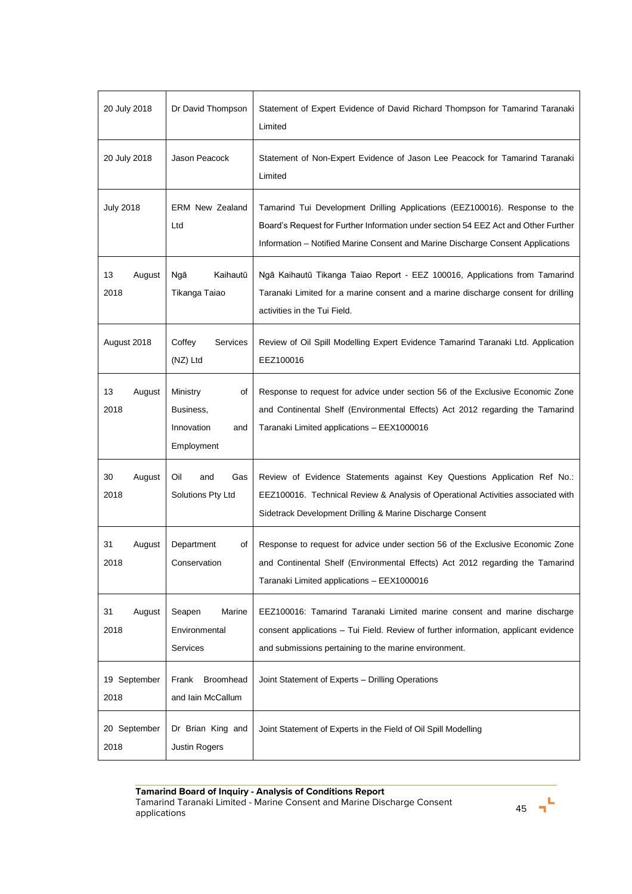| 20 July 2018         | Dr David Thompson                                              | Statement of Expert Evidence of David Richard Thompson for Tamarind Taranaki<br>Limited                                                                                                                                                              |
|----------------------|----------------------------------------------------------------|------------------------------------------------------------------------------------------------------------------------------------------------------------------------------------------------------------------------------------------------------|
| 20 July 2018         | Jason Peacock                                                  | Statement of Non-Expert Evidence of Jason Lee Peacock for Tamarind Taranaki<br>Limited                                                                                                                                                               |
| <b>July 2018</b>     | <b>ERM New Zealand</b><br>Ltd                                  | Tamarind Tui Development Drilling Applications (EEZ100016). Response to the<br>Board's Request for Further Information under section 54 EEZ Act and Other Further<br>Information – Notified Marine Consent and Marine Discharge Consent Applications |
| 13<br>August<br>2018 | Kaihautū<br>Ngā<br>Tikanga Taiao                               | Ngā Kaihautū Tikanga Taiao Report - EEZ 100016, Applications from Tamarind<br>Taranaki Limited for a marine consent and a marine discharge consent for drilling<br>activities in the Tui Field.                                                      |
| August 2018          | Coffey<br>Services<br>(NZ) Ltd                                 | Review of Oil Spill Modelling Expert Evidence Tamarind Taranaki Ltd. Application<br>EEZ100016                                                                                                                                                        |
| 13<br>August<br>2018 | Ministry<br>of<br>Business,<br>Innovation<br>and<br>Employment | Response to request for advice under section 56 of the Exclusive Economic Zone<br>and Continental Shelf (Environmental Effects) Act 2012 regarding the Tamarind<br>Taranaki Limited applications - EEX1000016                                        |
| 30<br>August<br>2018 | Oil<br>and<br>Gas<br>Solutions Pty Ltd                         | Review of Evidence Statements against Key Questions Application Ref No.:<br>EEZ100016. Technical Review & Analysis of Operational Activities associated with<br>Sidetrack Development Drilling & Marine Discharge Consent                            |
| August<br>31<br>2018 | Department<br>οf<br>Conservation                               | Response to request for advice under section 56 of the Exclusive Economic Zone<br>and Continental Shelf (Environmental Effects) Act 2012 regarding the Tamarind<br>Taranaki Limited applications - EEX1000016                                        |
| August<br>31<br>2018 | Seapen<br>Marine<br>Environmental<br>Services                  | EEZ100016: Tamarind Taranaki Limited marine consent and marine discharge<br>consent applications – Tui Field. Review of further information, applicant evidence<br>and submissions pertaining to the marine environment.                             |
| 19 September<br>2018 | Broomhead<br>Frank<br>and Iain McCallum                        | Joint Statement of Experts - Drilling Operations                                                                                                                                                                                                     |
| 20 September<br>2018 | Dr Brian King and<br><b>Justin Rogers</b>                      | Joint Statement of Experts in the Field of Oil Spill Modelling                                                                                                                                                                                       |

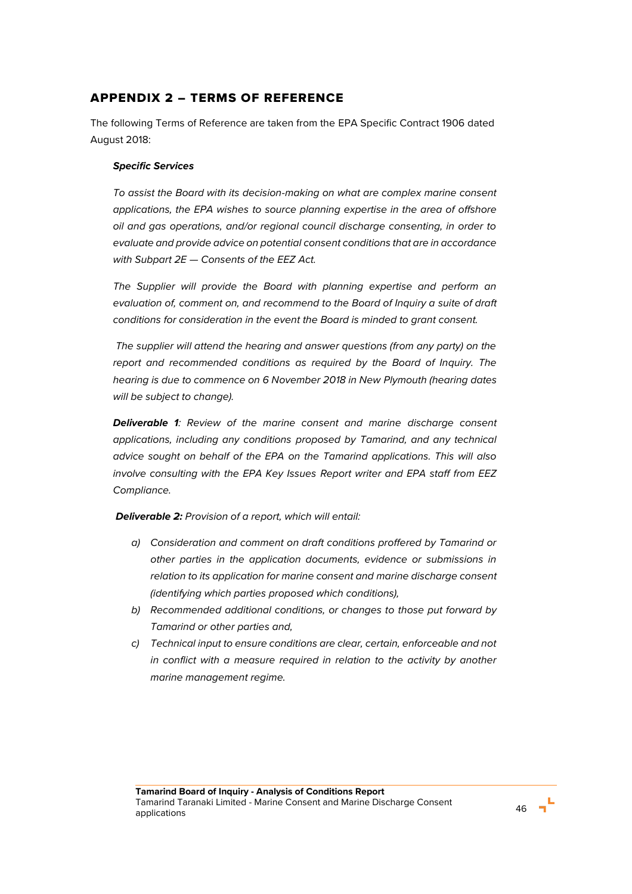# APPENDIX 2 – TERMS OF REFERENCE

The following Terms of Reference are taken from the EPA Specific Contract 1906 dated August 2018:

### *Specific Services*

*To assist the Board with its decision-making on what are complex marine consent applications, the EPA wishes to source planning expertise in the area of offshore oil and gas operations, and/or regional council discharge consenting, in order to evaluate and provide advice on potential consent conditions that are in accordance with Subpart 2E — Consents of the EEZ Act.*

The Supplier will provide the Board with planning expertise and perform an *evaluation of, comment on, and recommend to the Board of Inquiry a suite of draft conditions for consideration in the event the Board is minded to grant consent.*

*The supplier will attend the hearing and answer questions (from any party) on the report and recommended conditions as required by the Board of Inquiry. The hearing is due to commence on 6 November 2018 in New Plymouth (hearing dates will be subject to change).*

*Deliverable 1: Review of the marine consent and marine discharge consent applications, including any conditions proposed by Tamarind, and any technical advice sought on behalf of the EPA on the Tamarind applications. This will also involve consulting with the EPA Key Issues Report writer and EPA staff from EEZ Compliance.*

*Deliverable 2: Provision of a report, which will entail:* 

- *a) Consideration and comment on draft conditions proffered by Tamarind or other parties in the application documents, evidence or submissions in relation to its application for marine consent and marine discharge consent (identifying which parties proposed which conditions),*
- *b) Recommended additional conditions, or changes to those put forward by Tamarind or other parties and,*
- *c) Technical input to ensure conditions are clear, certain, enforceable and not in conflict with a measure required in relation to the activity by another marine management regime.*

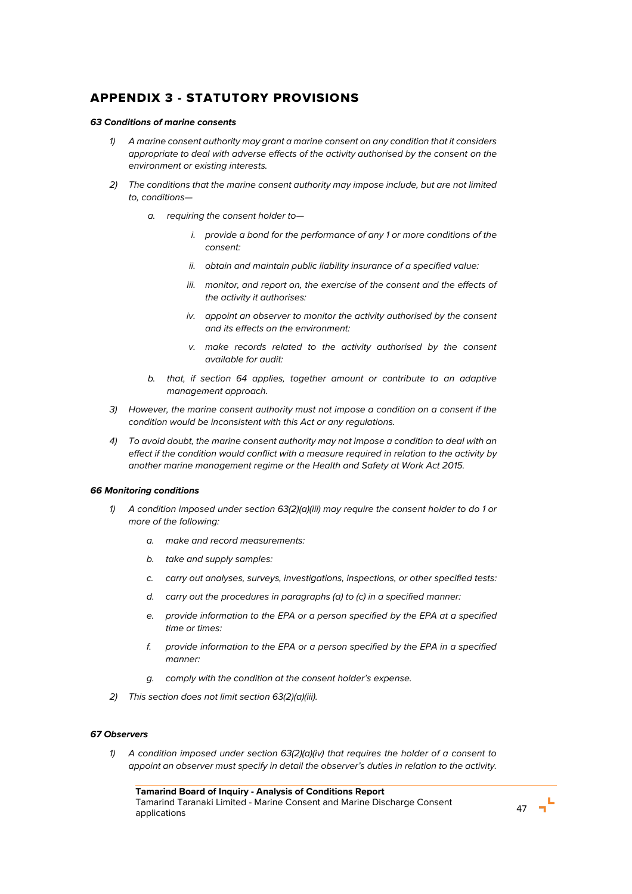# APPENDIX 3 - STATUTORY PROVISIONS

### *63 Conditions of marine consents*

- *1) A marine consent authority may grant a marine consent on any condition that it considers appropriate to deal with adverse effects of the activity authorised by the consent on the environment or existing interests.*
- *2) The conditions that the marine consent authority may impose include, but are not limited to, conditions*
	- *a. requiring the consent holder to*
		- *i. provide a bond for the performance of any 1 or more conditions of the consent:*
		- *ii. obtain and maintain public liability insurance of a specified value:*
		- *iii. monitor, and report on, the exercise of the consent and the effects of the activity it authorises:*
		- *iv. appoint an observer to monitor the activity authorised by the consent and its effects on the environment:*
		- *v. make records related to the activity authorised by the consent available for audit:*
	- *b. that, if section 64 applies, together amount or contribute to an adaptive management approach.*
- *3) However, the marine consent authority must not impose a condition on a consent if the condition would be inconsistent with this Act or any regulations.*
- *4) To avoid doubt, the marine consent authority may not impose a condition to deal with an effect if the condition would conflict with a measure required in relation to the activity by another marine management regime or the Health and Safety at Work Act 2015.*

### *66 Monitoring conditions*

- *1) A condition imposed under section 63(2)(a)(iii) may require the consent holder to do 1 or more of the following:*
	- *a. make and record measurements:*
	- *b. take and supply samples:*
	- *c. carry out analyses, surveys, investigations, inspections, or other specified tests:*
	- *d. carry out the procedures in paragraphs (a) to (c) in a specified manner:*
	- *e. provide information to the EPA or a person specified by the EPA at a specified time or times:*
	- *f. provide information to the EPA or a person specified by the EPA in a specified manner:*
	- *g. comply with the condition at the consent holder's expense.*
- *2) This section does not limit section 63(2)(a)(iii).*

### *67 Observers*

*1) A condition imposed under section 63(2)(a)(iv) that requires the holder of a consent to appoint an observer must specify in detail the observer's duties in relation to the activity.*

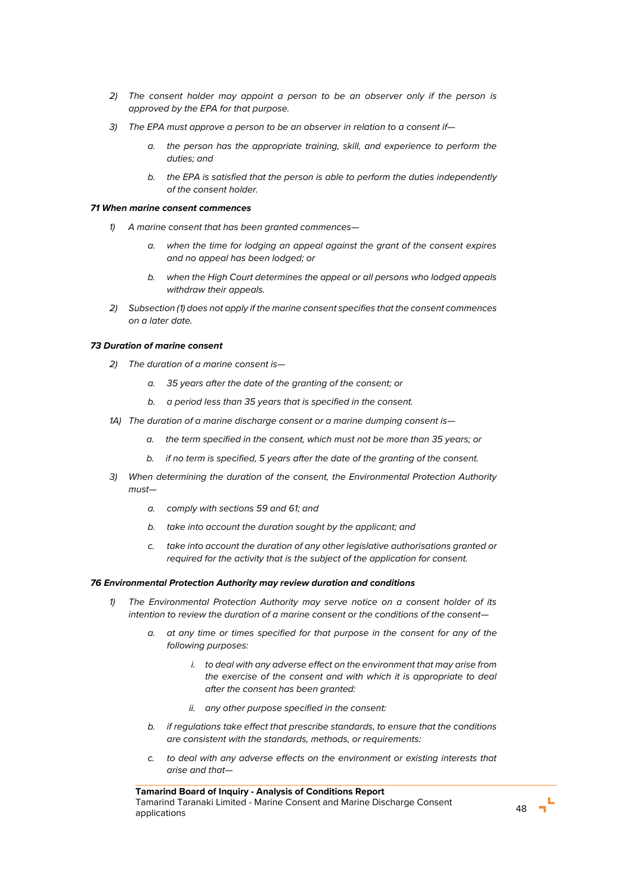- *2) The consent holder may appoint a person to be an observer only if the person is approved by the EPA for that purpose.*
- *3) The EPA must approve a person to be an observer in relation to a consent if*
	- *a. the person has the appropriate training, skill, and experience to perform the duties; and*
	- *b. the EPA is satisfied that the person is able to perform the duties independently of the consent holder.*

#### *71 When marine consent commences*

- *1) A marine consent that has been granted commences*
	- *a. when the time for lodging an appeal against the grant of the consent expires and no appeal has been lodged; or*
	- *b. when the High Court determines the appeal or all persons who lodged appeals withdraw their appeals.*
- *2) Subsection (1) does not apply if the marine consent specifies that the consent commences on a later date.*

### *73 Duration of marine consent*

- *2) The duration of a marine consent is*
	- *a. 35 years after the date of the granting of the consent; or*
	- *b. a period less than 35 years that is specified in the consent.*
- *1A) The duration of a marine discharge consent or a marine dumping consent is*
	- *a. the term specified in the consent, which must not be more than 35 years; or*
	- *b. if no term is specified, 5 years after the date of the granting of the consent.*
- *3) When determining the duration of the consent, the Environmental Protection Authority must*
	- *a. comply with sections 59 and 61; and*
	- *b. take into account the duration sought by the applicant; and*
	- *c. take into account the duration of any other legislative authorisations granted or required for the activity that is the subject of the application for consent.*

#### *76 Environmental Protection Authority may review duration and conditions*

- *1) The Environmental Protection Authority may serve notice on a consent holder of its intention to review the duration of a marine consent or the conditions of the consent*
	- *a. at any time or times specified for that purpose in the consent for any of the following purposes:*
		- *i. to deal with any adverse effect on the environment that may arise from the exercise of the consent and with which it is appropriate to deal after the consent has been granted:*
		- *ii. any other purpose specified in the consent:*
	- *b. if regulations take effect that prescribe standards, to ensure that the conditions are consistent with the standards, methods, or requirements:*
	- *c. to deal with any adverse effects on the environment or existing interests that arise and that—*

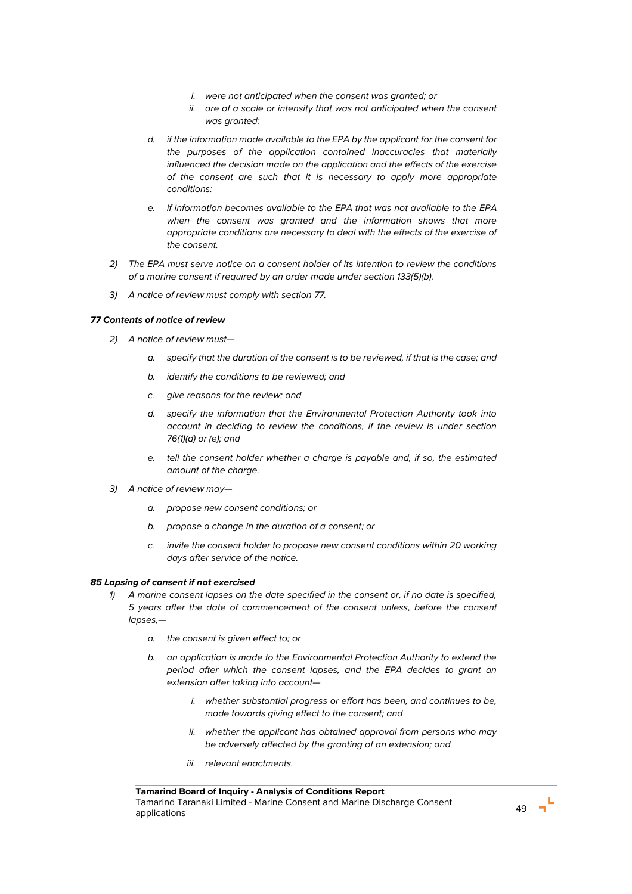- *i. were not anticipated when the consent was granted; or*
- *ii. are of a scale or intensity that was not anticipated when the consent was granted:*
- *d. if the information made available to the EPA by the applicant for the consent for the purposes of the application contained inaccuracies that materially influenced the decision made on the application and the effects of the exercise of the consent are such that it is necessary to apply more appropriate conditions:*
- *e. if information becomes available to the EPA that was not available to the EPA when the consent was granted and the information shows that more appropriate conditions are necessary to deal with the effects of the exercise of the consent.*
- *2) The EPA must serve notice on a consent holder of its intention to review the conditions of a marine consent if required by an order made under section 133(5)(b).*
- *3) A notice of review must comply with section 77.*

### *77 Contents of notice of review*

- *2) A notice of review must*
	- *a. specify that the duration of the consent is to be reviewed, if that is the case; and*
	- *b. identify the conditions to be reviewed; and*
	- *c. give reasons for the review; and*
	- *d. specify the information that the Environmental Protection Authority took into account in deciding to review the conditions, if the review is under section 76(1)(d) or (e); and*
	- *e. tell the consent holder whether a charge is payable and, if so, the estimated amount of the charge.*
- *3) A notice of review may*
	- *a. propose new consent conditions; or*
	- *b. propose a change in the duration of a consent; or*
	- *c. invite the consent holder to propose new consent conditions within 20 working days after service of the notice.*

#### *85 Lapsing of consent if not exercised*

- *1) A marine consent lapses on the date specified in the consent or, if no date is specified, 5 years after the date of commencement of the consent unless, before the consent lapses,*
	- *a. the consent is given effect to; or*
	- *b. an application is made to the Environmental Protection Authority to extend the period after which the consent lapses, and the EPA decides to grant an extension after taking into account*
		- *i. whether substantial progress or effort has been, and continues to be, made towards giving effect to the consent; and*
		- *ii. whether the applicant has obtained approval from persons who may be adversely affected by the granting of an extension; and*
		- *iii. relevant enactments.*